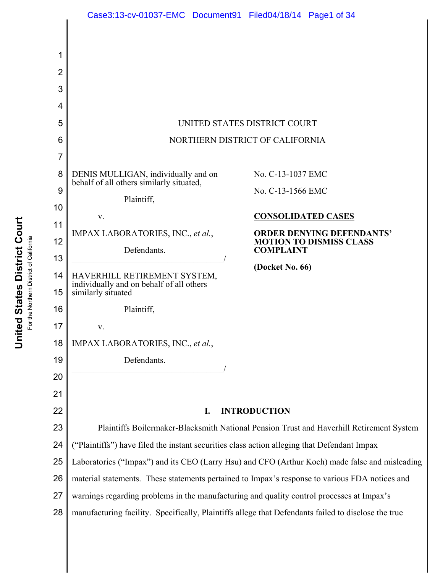

United States District Court **United States District Court** For the Northern District of California For the Northern District of California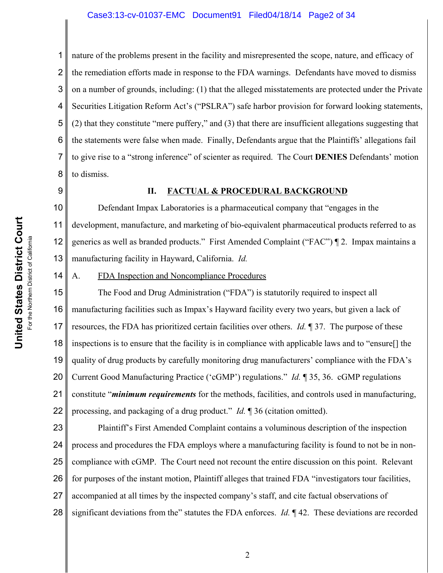#### Case3:13-cv-01037-EMC Document91 Filed04/18/14 Page2 of 34

1 2 3 4 5 6 7 8 nature of the problems present in the facility and misrepresented the scope, nature, and efficacy of the remediation efforts made in response to the FDA warnings. Defendants have moved to dismiss on a number of grounds, including: (1) that the alleged misstatements are protected under the Private Securities Litigation Reform Act's ("PSLRA") safe harbor provision for forward looking statements, (2) that they constitute "mere puffery," and (3) that there are insufficient allegations suggesting that the statements were false when made. Finally, Defendants argue that the Plaintiffs' allegations fail to give rise to a "strong inference" of scienter as required. The Court **DENIES** Defendants' motion to dismiss.

9

14

### **II. FACTUAL & PROCEDURAL BACKGROUND**

10 11 12 13 Defendant Impax Laboratories is a pharmaceutical company that "engages in the development, manufacture, and marketing of bio-equivalent pharmaceutical products referred to as generics as well as branded products." First Amended Complaint ("FAC") ¶ 2. Impax maintains a manufacturing facility in Hayward, California. *Id.*

A. FDA Inspection and Noncompliance Procedures

15 16 17 18 19 20 21 22 The Food and Drug Administration ("FDA") is statutorily required to inspect all manufacturing facilities such as Impax's Hayward facility every two years, but given a lack of resources, the FDA has prioritized certain facilities over others. *Id.* ¶ 37. The purpose of these inspections is to ensure that the facility is in compliance with applicable laws and to "ensure[] the quality of drug products by carefully monitoring drug manufacturers' compliance with the FDA's Current Good Manufacturing Practice ('cGMP') regulations." *Id.* ¶ 35, 36. cGMP regulations constitute "*minimum requirements* for the methods, facilities, and controls used in manufacturing, processing, and packaging of a drug product." *Id.* ¶ 36 (citation omitted).

23 24 25 26 27 28 Plaintiff's First Amended Complaint contains a voluminous description of the inspection process and procedures the FDA employs where a manufacturing facility is found to not be in noncompliance with cGMP. The Court need not recount the entire discussion on this point. Relevant for purposes of the instant motion, Plaintiff alleges that trained FDA "investigators tour facilities, accompanied at all times by the inspected company's staff, and cite factual observations of significant deviations from the" statutes the FDA enforces. *Id.* ¶ 42. These deviations are recorded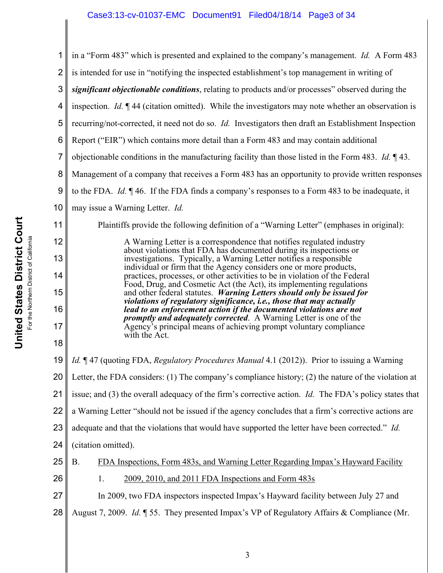1 2 3 4 5 6 7 8 9 10 11 12 13 14 15 16 17 18 19 20 21 22 23 24 25 26 27 28 in a "Form 483" which is presented and explained to the company's management. *Id.* A Form 483 is intended for use in "notifying the inspected establishment's top management in writing of *significant objectionable conditions*, relating to products and/or processes" observed during the inspection. *Id.* ¶ 44 (citation omitted). While the investigators may note whether an observation is recurring/not-corrected, it need not do so. *Id.* Investigators then draft an Establishment Inspection Report ("EIR") which contains more detail than a Form 483 and may contain additional objectionable conditions in the manufacturing facility than those listed in the Form 483. *Id.* ¶ 43. Management of a company that receives a Form 483 has an opportunity to provide written responses to the FDA. *Id.* ¶ 46. If the FDA finds a company's responses to a Form 483 to be inadequate, it may issue a Warning Letter. *Id.* Plaintiffs provide the following definition of a "Warning Letter" (emphases in original): A Warning Letter is a correspondence that notifies regulated industry about violations that FDA has documented during its inspections or investigations. Typically, a Warning Letter notifies a responsible individual or firm that the Agency considers one or more products, practices, processes, or other activities to be in violation of the Federal Food, Drug, and Cosmetic Act (the Act), its implementing regulations and other federal statutes. *Warning Letters should only be issued for violations of regulatory significance, i.e., those that may actually lead to an enforcement action if the documented violations are not promptly and adequately corrected*. A Warning Letter is one of the Agency's principal means of achieving prompt voluntary compliance with the Act. *Id.* ¶ 47 (quoting FDA, *Regulatory Procedures Manual* 4.1 (2012)). Prior to issuing a Warning Letter, the FDA considers: (1) The company's compliance history; (2) the nature of the violation at issue; and (3) the overall adequacy of the firm's corrective action. *Id.* The FDA's policy states that a Warning Letter "should not be issued if the agency concludes that a firm's corrective actions are adequate and that the violations that would have supported the letter have been corrected." *Id.* (citation omitted). B. FDA Inspections, Form 483s, and Warning Letter Regarding Impax's Hayward Facility 1. 2009, 2010, and 2011 FDA Inspections and Form 483s In 2009, two FDA inspectors inspected Impax's Hayward facility between July 27 and August 7, 2009. *Id.* ¶ 55. They presented Impax's VP of Regulatory Affairs & Compliance (Mr.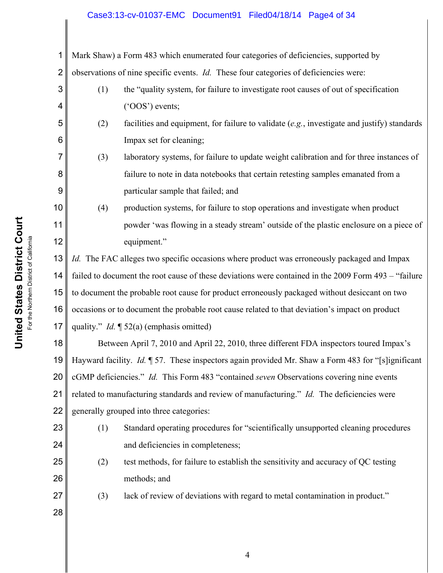# Case3:13-cv-01037-EMC Document91 Filed04/18/14 Page4 of 34

1 2 Mark Shaw) a Form 483 which enumerated four categories of deficiencies, supported by observations of nine specific events. *Id.* These four categories of deficiencies were:

- (1) the "quality system, for failure to investigate root causes of out of specification ('OOS') events;
- (2) facilities and equipment, for failure to validate (*e.g.*, investigate and justify) standards Impax set for cleaning;
	- (3) laboratory systems, for failure to update weight calibration and for three instances of failure to note in data notebooks that certain retesting samples emanated from a particular sample that failed; and
- (4) production systems, for failure to stop operations and investigate when product powder 'was flowing in a steady stream' outside of the plastic enclosure on a piece of equipment."

13 14 15 16 17 *Id.* The FAC alleges two specific occasions where product was erroneously packaged and Impax failed to document the root cause of these deviations were contained in the 2009 Form 493 – "failure to document the probable root cause for product erroneously packaged without desiccant on two occasions or to document the probable root cause related to that deviation's impact on product quality." *Id.* ¶ 52(a) (emphasis omitted)

18 19 20 21 22 Between April 7, 2010 and April 22, 2010, three different FDA inspectors toured Impax's Hayward facility. *Id.* ¶ 57. These inspectors again provided Mr. Shaw a Form 483 for "[s]ignificant cGMP deficiencies." *Id.* This Form 483 "contained *seven* Observations covering nine events related to manufacturing standards and review of manufacturing." *Id.* The deficiencies were generally grouped into three categories:



3

4

5

6

7

8

9

10

11

12

- (1) Standard operating procedures for "scientifically unsupported cleaning procedures and deficiencies in completeness;
- (2) test methods, for failure to establish the sensitivity and accuracy of QC testing methods; and

(3) lack of review of deviations with regard to metal contamination in product."

**United States District Court United States District Court** For the Northern District of California For the Northern District of California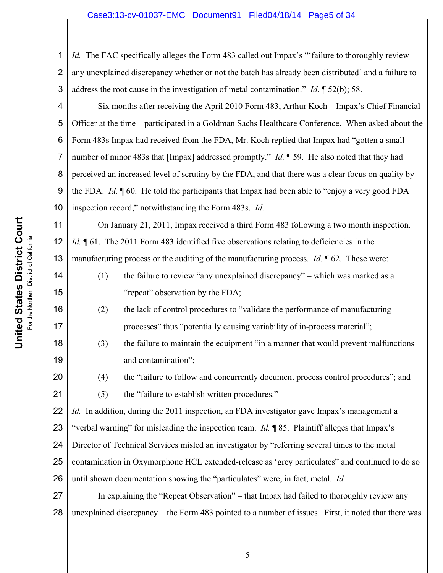# Case3:13-cv-01037-EMC Document91 Filed04/18/14 Page5 of 34

1 2 3 *Id.* The FAC specifically alleges the Form 483 called out Impax's "failure to thoroughly review any unexplained discrepancy whether or not the batch has already been distributed' and a failure to address the root cause in the investigation of metal contamination." *Id.* ¶ 52(b); 58.

4 5 6 7 8 9 10 Six months after receiving the April 2010 Form 483, Arthur Koch – Impax's Chief Financial Officer at the time – participated in a Goldman Sachs Healthcare Conference. When asked about the Form 483s Impax had received from the FDA, Mr. Koch replied that Impax had "gotten a small number of minor 483s that [Impax] addressed promptly." *Id.* 1 59. He also noted that they had perceived an increased level of scrutiny by the FDA, and that there was a clear focus on quality by the FDA. *Id.* ¶ 60. He told the participants that Impax had been able to "enjoy a very good FDA inspection record," notwithstanding the Form 483s. *Id.*

11 12 13 On January 21, 2011, Impax received a third Form 483 following a two month inspection. *Id.*  $\P$  61. The 2011 Form 483 identified five observations relating to deficiencies in the manufacturing process or the auditing of the manufacturing process. *Id.* ¶ 62. These were:

- (1) the failure to review "any unexplained discrepancy" which was marked as a "repeat" observation by the FDA;
- (2) the lack of control procedures to "validate the performance of manufacturing processes" thus "potentially causing variability of in-process material";
- (3) the failure to maintain the equipment "in a manner that would prevent malfunctions and contamination";

(4) the "failure to follow and concurrently document process control procedures"; and

(5) the "failure to establish written procedures."

22 *Id.* In addition, during the 2011 inspection, an FDA investigator gave Impax's management a

23 "verbal warning" for misleading the inspection team. *Id.* ¶ 85. Plaintiff alleges that Impax's

24 Director of Technical Services misled an investigator by "referring several times to the metal

25 contamination in Oxymorphone HCL extended-release as 'grey particulates" and continued to do so

26 until shown documentation showing the "particulates" were, in fact, metal. *Id.*

27 28 In explaining the "Repeat Observation" – that Impax had failed to thoroughly review any unexplained discrepancy – the Form 483 pointed to a number of issues. First, it noted that there was

14

15

16

17

18

19

20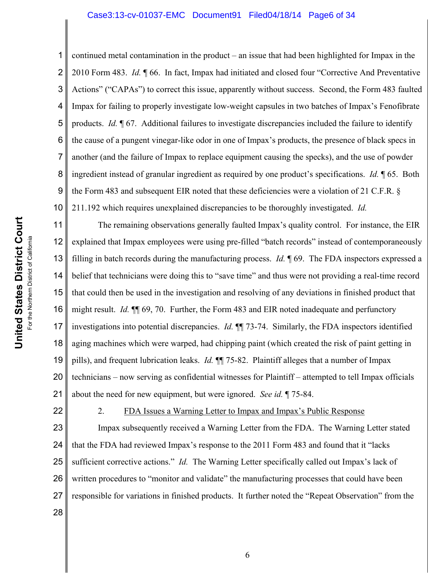### Case3:13-cv-01037-EMC Document91 Filed04/18/14 Page6 of 34

2 3 4 5 6 7 8 9 10 continued metal contamination in the product – an issue that had been highlighted for Impax in the 2010 Form 483. *Id.* ¶ 66. In fact, Impax had initiated and closed four "Corrective And Preventative Actions" ("CAPAs") to correct this issue, apparently without success. Second, the Form 483 faulted Impax for failing to properly investigate low-weight capsules in two batches of Impax's Fenofibrate products. *Id.* ¶ 67. Additional failures to investigate discrepancies included the failure to identify the cause of a pungent vinegar-like odor in one of Impax's products, the presence of black specs in another (and the failure of Impax to replace equipment causing the specks), and the use of powder ingredient instead of granular ingredient as required by one product's specifications. *Id.* ¶ 65. Both the Form 483 and subsequent EIR noted that these deficiencies were a violation of 21 C.F.R. § 211.192 which requires unexplained discrepancies to be thoroughly investigated. *Id.* 

11 12 13 14 15 16 17 18 19 20 21 The remaining observations generally faulted Impax's quality control. For instance, the EIR explained that Impax employees were using pre-filled "batch records" instead of contemporaneously filling in batch records during the manufacturing process. *Id.* ¶ 69. The FDA inspectors expressed a belief that technicians were doing this to "save time" and thus were not providing a real-time record that could then be used in the investigation and resolving of any deviations in finished product that might result. *Id.* ¶¶ 69, 70. Further, the Form 483 and EIR noted inadequate and perfunctory investigations into potential discrepancies. *Id.* ¶¶ 73-74. Similarly, the FDA inspectors identified aging machines which were warped, had chipping paint (which created the risk of paint getting in pills), and frequent lubrication leaks. *Id.* ¶¶ 75-82. Plaintiff alleges that a number of Impax technicians – now serving as confidential witnesses for Plaintiff – attempted to tell Impax officials about the need for new equipment, but were ignored. *See id.* ¶ 75-84.

22

1

2. FDA Issues a Warning Letter to Impax and Impax's Public Response

23 24 25 26 27 28 Impax subsequently received a Warning Letter from the FDA. The Warning Letter stated that the FDA had reviewed Impax's response to the 2011 Form 483 and found that it "lacks sufficient corrective actions." *Id.* The Warning Letter specifically called out Impax's lack of written procedures to "monitor and validate" the manufacturing processes that could have been responsible for variations in finished products. It further noted the "Repeat Observation" from the

**United States District Court United States District Court** For the Northern District of California For the Northern District of California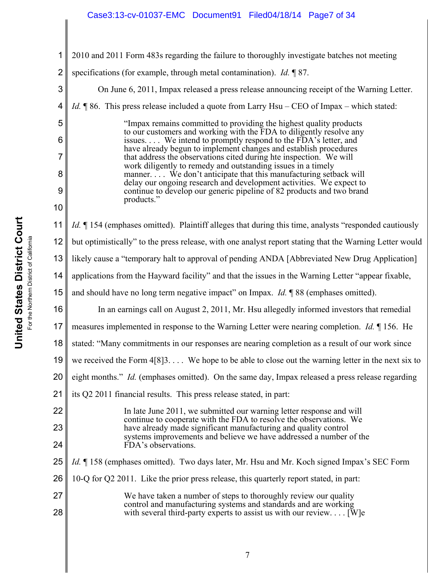# Case3:13-cv-01037-EMC Document91 Filed04/18/14 Page7 of 34

| 1              | 2010 and 2011 Form 483s regarding the failure to thoroughly investigate batches not meeting                                                |  |  |
|----------------|--------------------------------------------------------------------------------------------------------------------------------------------|--|--|
| $\overline{2}$ | specifications (for example, through metal contamination). <i>Id.</i> 187.                                                                 |  |  |
| 3              | On June 6, 2011, Impax released a press release announcing receipt of the Warning Letter.                                                  |  |  |
| 4              | <i>Id.</i> $\parallel$ 86. This press release included a quote from Larry Hsu – CEO of Impax – which stated:                               |  |  |
| 5              | "Impax remains committed to providing the highest quality products<br>to our customers and working with the FDA to diligently resolve any  |  |  |
| 6              | issues We intend to promptly respond to the FDA's letter, and<br>have already begun to implement changes and establish procedures          |  |  |
| 7              | that address the observations cited during hte inspection. We will<br>work diligently to remedy and outstanding issues in a timely         |  |  |
| 8              | manner. We don't anticipate that this manufacturing setback will<br>delay our ongoing research and development activities. We expect to    |  |  |
| 9              | continue to develop our generic pipeline of 82 products and two brand<br>products."                                                        |  |  |
| 10             |                                                                                                                                            |  |  |
| 11             | <i>Id.</i> 154 (emphases omitted). Plaintiff alleges that during this time, analysts "responded cautiously                                 |  |  |
| 12             | but optimistically" to the press release, with one analyst report stating that the Warning Letter would                                    |  |  |
| 13             | likely cause a "temporary halt to approval of pending ANDA [Abbreviated New Drug Application]                                              |  |  |
| 14             | applications from the Hayward facility" and that the issues in the Warning Letter "appear fixable,                                         |  |  |
| 15             | and should have no long term negative impact" on Impax. $Id. \P 88$ (emphases omitted).                                                    |  |  |
| 16             | In an earnings call on August 2, 2011, Mr. Hsu allegedly informed investors that remedial                                                  |  |  |
| 17             | measures implemented in response to the Warning Letter were nearing completion. <i>Id.</i> 156. He                                         |  |  |
| 18             | stated: "Many commitments in our responses are nearing completion as a result of our work since                                            |  |  |
| 19             | we received the Form $4[8]3$ We hope to be able to close out the warning letter in the next six to                                         |  |  |
| 20             | eight months." Id. (emphases omitted). On the same day, Impax released a press release regarding                                           |  |  |
| 21             | its Q2 2011 financial results. This press release stated, in part:                                                                         |  |  |
| 22             | In late June 2011, we submitted our warning letter response and will<br>continue to cooperate with the FDA to resolve the observations. We |  |  |
| 23             | have already made significant manufacturing and quality control<br>systems improvements and believe we have addressed a number of the      |  |  |
| 24             | FDA's observations.                                                                                                                        |  |  |
| 25             | Id. ¶ 158 (emphases omitted). Two days later, Mr. Hsu and Mr. Koch signed Impax's SEC Form                                                 |  |  |
| 26             | 10-Q for Q2 2011. Like the prior press release, this quarterly report stated, in part:                                                     |  |  |
| 27             | We have taken a number of steps to thoroughly review our quality<br>control and manufacturing systems and standards and are working        |  |  |
| 28             | with several third-party experts to assist us with our review [W]e                                                                         |  |  |
|                |                                                                                                                                            |  |  |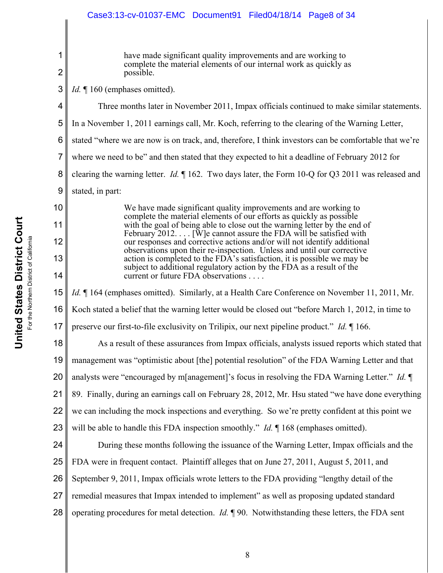#### 1 2 3 4 5 6 7 8 9 10 11 12 13 14 15 16 17 18 19 20 21 22 23 24 25 26 27 28 have made significant quality improvements and are working to complete the material elements of our internal work as quickly as possible. *Id.* 160 (emphases omitted). Three months later in November 2011, Impax officials continued to make similar statements. In a November 1, 2011 earnings call, Mr. Koch, referring to the clearing of the Warning Letter, stated "where we are now is on track, and, therefore, I think investors can be comfortable that we're where we need to be" and then stated that they expected to hit a deadline of February 2012 for clearing the warning letter. *Id.* ¶ 162. Two days later, the Form 10-Q for Q3 2011 was released and stated, in part: We have made significant quality improvements and are working to complete the material elements of our efforts as quickly as possible with the goal of being able to close out the warning letter by the end of February 2012. . . . [W]e cannot assure the FDA will be satisfied with our responses and corrective actions and/or will not identify additional observations upon their re-inspection. Unless and until our corrective action is completed to the FDA's satisfaction, it is possible we may be subject to additional regulatory action by the FDA as a result of the current or future FDA observations . . . . *Id.*  $\P$  164 (emphases omitted). Similarly, at a Health Care Conference on November 11, 2011, Mr. Koch stated a belief that the warning letter would be closed out "before March 1, 2012, in time to preserve our first-to-file exclusivity on Trilipix, our next pipeline product." *Id.* ¶ 166. As a result of these assurances from Impax officials, analysts issued reports which stated that management was "optimistic about [the] potential resolution" of the FDA Warning Letter and that analysts were "encouraged by m[anagement]'s focus in resolving the FDA Warning Letter." *Id.* ¶ 89. Finally, during an earnings call on February 28, 2012, Mr. Hsu stated "we have done everything we can including the mock inspections and everything. So we're pretty confident at this point we will be able to handle this FDA inspection smoothly." *Id.* 168 (emphases omitted). During these months following the issuance of the Warning Letter, Impax officials and the FDA were in frequent contact. Plaintiff alleges that on June 27, 2011, August 5, 2011, and September 9, 2011, Impax officials wrote letters to the FDA providing "lengthy detail of the remedial measures that Impax intended to implement" as well as proposing updated standard operating procedures for metal detection. *Id.* ¶ 90. Notwithstanding these letters, the FDA sent Case3:13-cv-01037-EMC Document91 Filed04/18/14 Page8 of 34

**United States District Court United States District Court** For the Northern District of California the Northern District of California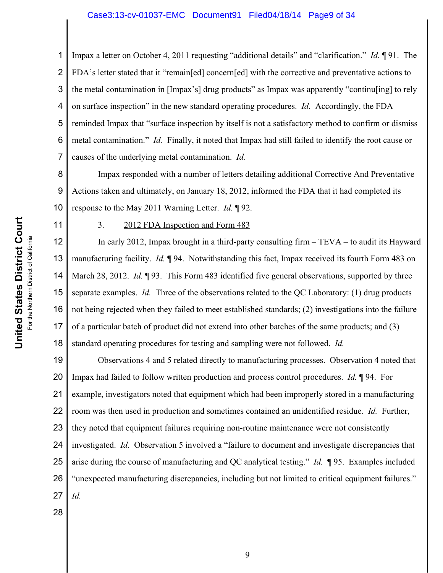#### Case3:13-cv-01037-EMC Document91 Filed04/18/14 Page9 of 34

2 3 4 5 6 7 Impax a letter on October 4, 2011 requesting "additional details" and "clarification." *Id.* ¶ 91. The FDA's letter stated that it "remain[ed] concern[ed] with the corrective and preventative actions to the metal contamination in [Impax's] drug products" as Impax was apparently "continu[ing] to rely on surface inspection" in the new standard operating procedures. *Id.* Accordingly, the FDA reminded Impax that "surface inspection by itself is not a satisfactory method to confirm or dismiss metal contamination." *Id.* Finally, it noted that Impax had still failed to identify the root cause or causes of the underlying metal contamination. *Id.*

8 9 10 Impax responded with a number of letters detailing additional Corrective And Preventative Actions taken and ultimately, on January 18, 2012, informed the FDA that it had completed its response to the May 2011 Warning Letter. *Id.* ¶ 92.

For the Northern District of California For the Northern District of California 11

1

**United States District Court**

**United States District Court** 

# 3. 2012 FDA Inspection and Form 483

12 13 14 15 16 17 18 In early 2012, Impax brought in a third-party consulting firm – TEVA – to audit its Hayward manufacturing facility. *Id.* ¶ 94. Notwithstanding this fact, Impax received its fourth Form 483 on March 28, 2012. *Id.* ¶ 93. This Form 483 identified five general observations, supported by three separate examples. *Id.* Three of the observations related to the QC Laboratory: (1) drug products not being rejected when they failed to meet established standards; (2) investigations into the failure of a particular batch of product did not extend into other batches of the same products; and (3) standard operating procedures for testing and sampling were not followed. *Id.*

19 20 21 22 23 24 25 26 27 Observations 4 and 5 related directly to manufacturing processes. Observation 4 noted that Impax had failed to follow written production and process control procedures. *Id.* ¶ 94. For example, investigators noted that equipment which had been improperly stored in a manufacturing room was then used in production and sometimes contained an unidentified residue. *Id.* Further, they noted that equipment failures requiring non-routine maintenance were not consistently investigated. *Id.* Observation 5 involved a "failure to document and investigate discrepancies that arise during the course of manufacturing and QC analytical testing." *Id.* ¶ 95. Examples included "unexpected manufacturing discrepancies, including but not limited to critical equipment failures." *Id.*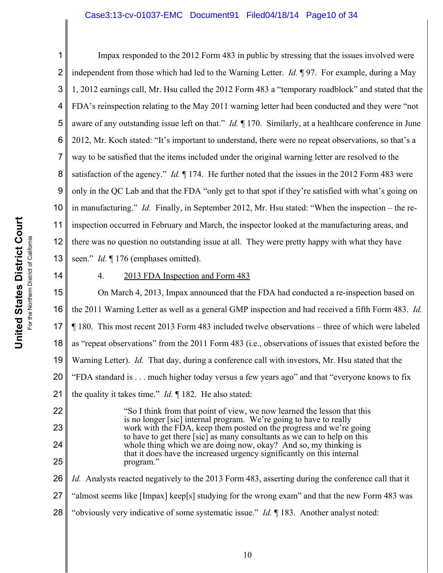## Case3:13-cv-01037-EMC Document91 Filed04/18/14 Page10 of 34

1 2 3 4 5 6 7 8 9 10 11 12 13 Impax responded to the 2012 Form 483 in public by stressing that the issues involved were independent from those which had led to the Warning Letter. *Id.* ¶ 97. For example, during a May 1, 2012 earnings call, Mr. Hsu called the 2012 Form 483 a "temporary roadblock" and stated that the FDA's reinspection relating to the May 2011 warning letter had been conducted and they were "not aware of any outstanding issue left on that." *Id.* ¶ 170. Similarly, at a healthcare conference in June 2012, Mr. Koch stated: "It's important to understand, there were no repeat observations, so that's a way to be satisfied that the items included under the original warning letter are resolved to the satisfaction of the agency." *Id.* ¶ 174. He further noted that the issues in the 2012 Form 483 were only in the QC Lab and that the FDA "only get to that spot if they're satisfied with what's going on in manufacturing." *Id.* Finally, in September 2012, Mr. Hsu stated: "When the inspection – the reinspection occurred in February and March, the inspector looked at the manufacturing areas, and there was no question no outstanding issue at all. They were pretty happy with what they have seen." *Id.* ¶ 176 (emphases omitted).

14

22

23

24

25

# 4. 2013 FDA Inspection and Form 483

15 16 17 18 19 20 21 On March 4, 2013, Impax announced that the FDA had conducted a re-inspection based on the 2011 Warning Letter as well as a general GMP inspection and had received a fifth Form 483. *Id.* ¶ 180. This most recent 2013 Form 483 included twelve observations – three of which were labeled as "repeat observations" from the 2011 Form 483 (i.e., observations of issues that existed before the Warning Letter). *Id.* That day, during a conference call with investors, Mr. Hsu stated that the "FDA standard is . . . much higher today versus a few years ago" and that "everyone knows to fix the quality it takes time." *Id.* ¶ 182. He also stated:

> "So I think from that point of view, we now learned the lesson that this is no longer [sic] internal program. We're going to have to really work with the FDA, keep them posted on the progress and we're going to have to get there [sic] as many consultants as we can to help on this whole thing which we are doing now, okay? And so, my thinking is that it does have the increased urgency significantly on this internal program."

26 27 28 *Id.* Analysts reacted negatively to the 2013 Form 483, asserting during the conference call that it "almost seems like [Impax] keep[s] studying for the wrong exam" and that the new Form 483 was "obviously very indicative of some systematic issue." *Id.* ¶ 183. Another analyst noted: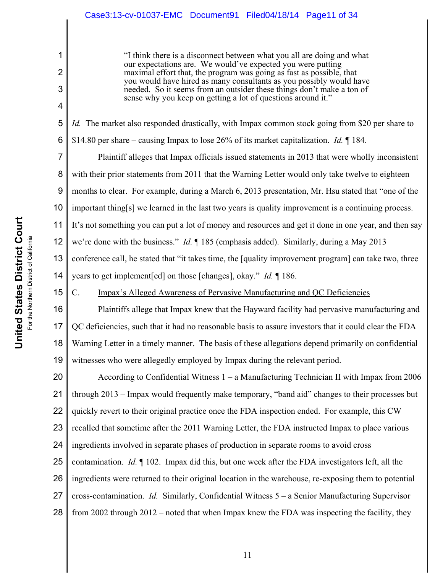"I think there is a disconnect between what you all are doing and what our expectations are. We would've expected you were putting maximal effort that, the program was going as fast as possible, that you would have hired as many consultants as you possibly would have needed. So it seems from an outsider these things don't make a ton of sense why you keep on getting a lot of questions around it."

5 *Id.* The market also responded drastically, with Impax common stock going from \$20 per share to

6 \$14.80 per share – causing Impax to lose 26% of its market capitalization. *Id.* ¶ 184.

7 8 9 10 11 12 13 14 Plaintiff alleges that Impax officials issued statements in 2013 that were wholly inconsistent with their prior statements from 2011 that the Warning Letter would only take twelve to eighteen months to clear. For example, during a March 6, 2013 presentation, Mr. Hsu stated that "one of the important thing[s] we learned in the last two years is quality improvement is a continuing process. It's not something you can put a lot of money and resources and get it done in one year, and then say we're done with the business." *Id.* ¶ 185 (emphasis added). Similarly, during a May 2013 conference call, he stated that "it takes time, the [quality improvement program] can take two, three years to get implement[ed] on those [changes], okay." *Id.* ¶ 186.

C. Impax's Alleged Awareness of Pervasive Manufacturing and QC Deficiencies

16 17 18 19 Plaintiffs allege that Impax knew that the Hayward facility had pervasive manufacturing and QC deficiencies, such that it had no reasonable basis to assure investors that it could clear the FDA Warning Letter in a timely manner. The basis of these allegations depend primarily on confidential witnesses who were allegedly employed by Impax during the relevant period.

20 21 22 23 24 25 26 27 28 According to Confidential Witness 1 – a Manufacturing Technician II with Impax from 2006 through 2013 – Impax would frequently make temporary, "band aid" changes to their processes but quickly revert to their original practice once the FDA inspection ended. For example, this CW recalled that sometime after the 2011 Warning Letter, the FDA instructed Impax to place various ingredients involved in separate phases of production in separate rooms to avoid cross contamination. *Id.* ¶ 102. Impax did this, but one week after the FDA investigators left, all the ingredients were returned to their original location in the warehouse, re-exposing them to potential cross-contamination. *Id.* Similarly, Confidential Witness 5 – a Senior Manufacturing Supervisor from 2002 through 2012 – noted that when Impax knew the FDA was inspecting the facility, they

15

1

2

3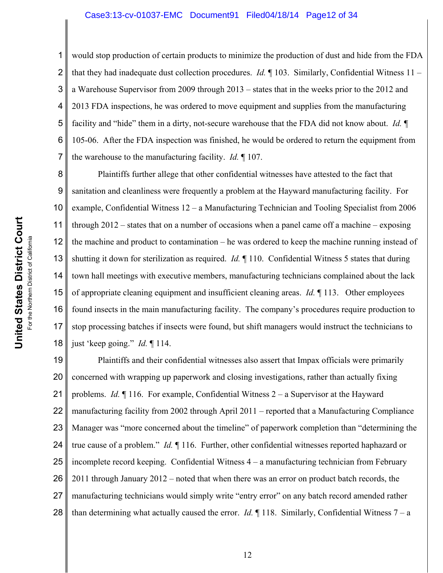#### Case3:13-cv-01037-EMC Document91 Filed04/18/14 Page12 of 34

1 2 3 4 5 6 7 would stop production of certain products to minimize the production of dust and hide from the FDA that they had inadequate dust collection procedures. *Id.* ¶ 103. Similarly, Confidential Witness 11 – a Warehouse Supervisor from 2009 through 2013 – states that in the weeks prior to the 2012 and 2013 FDA inspections, he was ordered to move equipment and supplies from the manufacturing facility and "hide" them in a dirty, not-secure warehouse that the FDA did not know about. *Id.* ¶ 105-06. After the FDA inspection was finished, he would be ordered to return the equipment from the warehouse to the manufacturing facility. *Id.* ¶ 107.

8 9 10 11 12 13 14 15 16 17 18 Plaintiffs further allege that other confidential witnesses have attested to the fact that sanitation and cleanliness were frequently a problem at the Hayward manufacturing facility. For example, Confidential Witness 12 – a Manufacturing Technician and Tooling Specialist from 2006 through 2012 – states that on a number of occasions when a panel came off a machine – exposing the machine and product to contamination – he was ordered to keep the machine running instead of shutting it down for sterilization as required. *Id.* ¶ 110. Confidential Witness 5 states that during town hall meetings with executive members, manufacturing technicians complained about the lack of appropriate cleaning equipment and insufficient cleaning areas. *Id.* ¶ 113. Other employees found insects in the main manufacturing facility. The company's procedures require production to stop processing batches if insects were found, but shift managers would instruct the technicians to just 'keep going." *Id.* ¶ 114.

19 20 21 22 23 24 25 26 27 28 Plaintiffs and their confidential witnesses also assert that Impax officials were primarily concerned with wrapping up paperwork and closing investigations, rather than actually fixing problems. *Id.* ¶ 116. For example, Confidential Witness 2 – a Supervisor at the Hayward manufacturing facility from 2002 through April 2011 – reported that a Manufacturing Compliance Manager was "more concerned about the timeline" of paperwork completion than "determining the true cause of a problem." *Id.* ¶ 116. Further, other confidential witnesses reported haphazard or incomplete record keeping. Confidential Witness 4 – a manufacturing technician from February 2011 through January 2012 – noted that when there was an error on product batch records, the manufacturing technicians would simply write "entry error" on any batch record amended rather than determining what actually caused the error. *Id.* ¶ 118. Similarly, Confidential Witness 7 – a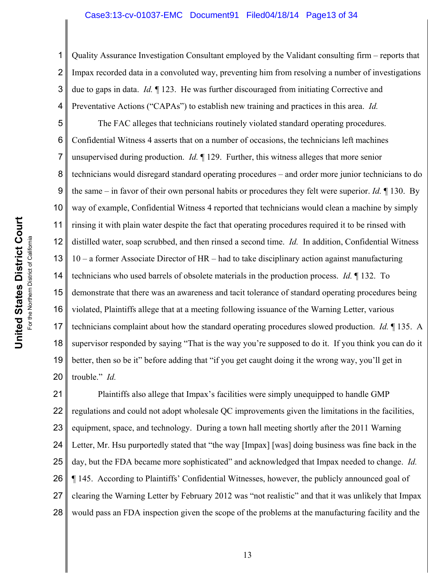#### Case3:13-cv-01037-EMC Document91 Filed04/18/14 Page13 of 34

2 3 4 Quality Assurance Investigation Consultant employed by the Validant consulting firm – reports that Impax recorded data in a convoluted way, preventing him from resolving a number of investigations due to gaps in data. *Id.* ¶ 123. He was further discouraged from initiating Corrective and Preventative Actions ("CAPAs") to establish new training and practices in this area. *Id.*

5 6 7 8 9 10 11 12 13 14 15 16 17 18 19 20 The FAC alleges that technicians routinely violated standard operating procedures. Confidential Witness 4 asserts that on a number of occasions, the technicians left machines unsupervised during production. *Id.* ¶ 129. Further, this witness alleges that more senior technicians would disregard standard operating procedures – and order more junior technicians to do the same – in favor of their own personal habits or procedures they felt were superior. *Id.* ¶ 130. By way of example, Confidential Witness 4 reported that technicians would clean a machine by simply rinsing it with plain water despite the fact that operating procedures required it to be rinsed with distilled water, soap scrubbed, and then rinsed a second time. *Id.* In addition, Confidential Witness 10 – a former Associate Director of HR – had to take disciplinary action against manufacturing technicians who used barrels of obsolete materials in the production process. *Id.* ¶ 132. To demonstrate that there was an awareness and tacit tolerance of standard operating procedures being violated, Plaintiffs allege that at a meeting following issuance of the Warning Letter, various technicians complaint about how the standard operating procedures slowed production. *Id.* ¶ 135. A supervisor responded by saying "That is the way you're supposed to do it. If you think you can do it better, then so be it" before adding that "if you get caught doing it the wrong way, you'll get in trouble." *Id.*

21 22 23 24 25 26 27 28 Plaintiffs also allege that Impax's facilities were simply unequipped to handle GMP regulations and could not adopt wholesale QC improvements given the limitations in the facilities, equipment, space, and technology. During a town hall meeting shortly after the 2011 Warning Letter, Mr. Hsu purportedly stated that "the way [Impax] [was] doing business was fine back in the day, but the FDA became more sophisticated" and acknowledged that Impax needed to change. *Id.* ¶ 145. According to Plaintiffs' Confidential Witnesses, however, the publicly announced goal of clearing the Warning Letter by February 2012 was "not realistic" and that it was unlikely that Impax would pass an FDA inspection given the scope of the problems at the manufacturing facility and the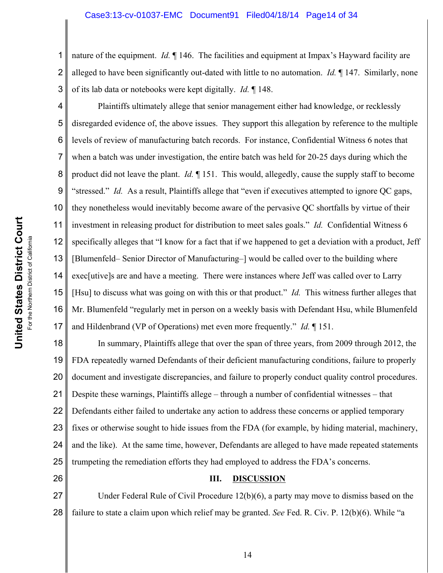1 2 3 nature of the equipment. *Id.* ¶ 146. The facilities and equipment at Impax's Hayward facility are alleged to have been significantly out-dated with little to no automation. *Id.* ¶ 147. Similarly, none of its lab data or notebooks were kept digitally. *Id.* ¶ 148.

4 5 6 7 8 9 10 11 12 13 14 15 16 17 Plaintiffs ultimately allege that senior management either had knowledge, or recklessly disregarded evidence of, the above issues. They support this allegation by reference to the multiple levels of review of manufacturing batch records. For instance, Confidential Witness 6 notes that when a batch was under investigation, the entire batch was held for 20-25 days during which the product did not leave the plant. *Id.* ¶ 151. This would, allegedly, cause the supply staff to become "stressed." *Id.* As a result, Plaintiffs allege that "even if executives attempted to ignore QC gaps, they nonetheless would inevitably become aware of the pervasive QC shortfalls by virtue of their investment in releasing product for distribution to meet sales goals." *Id.* Confidential Witness 6 specifically alleges that "I know for a fact that if we happened to get a deviation with a product, Jeff [Blumenfeld– Senior Director of Manufacturing–] would be called over to the building where exec[utive]s are and have a meeting. There were instances where Jeff was called over to Larry [Hsu] to discuss what was going on with this or that product." *Id.* This witness further alleges that Mr. Blumenfeld "regularly met in person on a weekly basis with Defendant Hsu, while Blumenfeld and Hildenbrand (VP of Operations) met even more frequently." *Id.* ¶ 151.

18 19 20 21 22 23 24 25 In summary, Plaintiffs allege that over the span of three years, from 2009 through 2012, the FDA repeatedly warned Defendants of their deficient manufacturing conditions, failure to properly document and investigate discrepancies, and failure to properly conduct quality control procedures. Despite these warnings, Plaintiffs allege – through a number of confidential witnesses – that Defendants either failed to undertake any action to address these concerns or applied temporary fixes or otherwise sought to hide issues from the FDA (for example, by hiding material, machinery, and the like). At the same time, however, Defendants are alleged to have made repeated statements trumpeting the remediation efforts they had employed to address the FDA's concerns.

#### **III. DISCUSSION**

27 28 Under Federal Rule of Civil Procedure 12(b)(6), a party may move to dismiss based on the failure to state a claim upon which relief may be granted. *See* Fed. R. Civ. P. 12(b)(6). While "a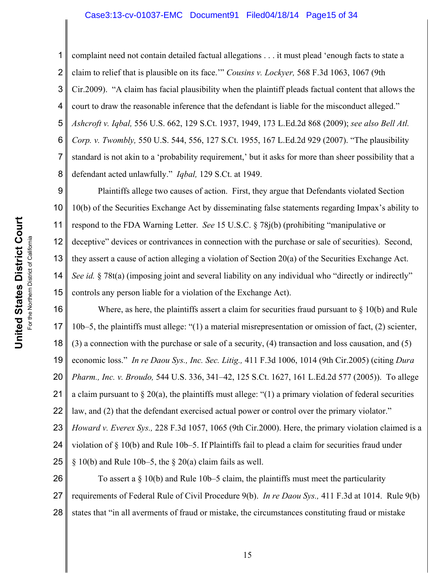#### Case3:13-cv-01037-EMC Document91 Filed04/18/14 Page15 of 34

1 2 3 4 5 6 7 8 complaint need not contain detailed factual allegations . . . it must plead 'enough facts to state a claim to relief that is plausible on its face.'" *Cousins v. Lockyer,* 568 F.3d 1063, 1067 (9th Cir.2009). "A claim has facial plausibility when the plaintiff pleads factual content that allows the court to draw the reasonable inference that the defendant is liable for the misconduct alleged." *Ashcroft v. Iqbal,* 556 U.S. 662, 129 S.Ct. 1937, 1949, 173 L.Ed.2d 868 (2009); *see also Bell Atl. Corp. v. Twombly,* 550 U.S. 544, 556, 127 S.Ct. 1955, 167 L.Ed.2d 929 (2007). "The plausibility standard is not akin to a 'probability requirement,' but it asks for more than sheer possibility that a defendant acted unlawfully." *Iqbal,* 129 S.Ct. at 1949.

9 10 11 12 13 14 15 Plaintiffs allege two causes of action. First, they argue that Defendants violated Section 10(b) of the Securities Exchange Act by disseminating false statements regarding Impax's ability to respond to the FDA Warning Letter. *See* 15 U.S.C. § 78j(b) (prohibiting "manipulative or deceptive" devices or contrivances in connection with the purchase or sale of securities). Second, they assert a cause of action alleging a violation of Section 20(a) of the Securities Exchange Act. *See id.* § 78t(a) (imposing joint and several liability on any individual who "directly or indirectly" controls any person liable for a violation of the Exchange Act).

16 17 18 19 20 21 22 23 24 25 Where, as here, the plaintiffs assert a claim for securities fraud pursuant to  $\S$  10(b) and Rule 10b–5, the plaintiffs must allege: "(1) a material misrepresentation or omission of fact, (2) scienter, (3) a connection with the purchase or sale of a security, (4) transaction and loss causation, and (5) economic loss." *In re Daou Sys., Inc. Sec. Litig.,* 411 F.3d 1006, 1014 (9th Cir.2005) (citing *Dura Pharm., Inc. v. Broudo,* 544 U.S. 336, 341–42, 125 S.Ct. 1627, 161 L.Ed.2d 577 (2005)). To allege a claim pursuant to  $\S 20(a)$ , the plaintiffs must allege: "(1) a primary violation of federal securities law, and (2) that the defendant exercised actual power or control over the primary violator." *Howard v. Everex Sys.,* 228 F.3d 1057, 1065 (9th Cir.2000). Here, the primary violation claimed is a violation of § 10(b) and Rule 10b–5. If Plaintiffs fail to plead a claim for securities fraud under  $\S$  10(b) and Rule 10b–5, the  $\S$  20(a) claim fails as well.

26 27 28 To assert a § 10(b) and Rule 10b–5 claim, the plaintiffs must meet the particularity requirements of Federal Rule of Civil Procedure 9(b). *In re Daou Sys.,* 411 F.3d at 1014. Rule 9(b) states that "in all averments of fraud or mistake, the circumstances constituting fraud or mistake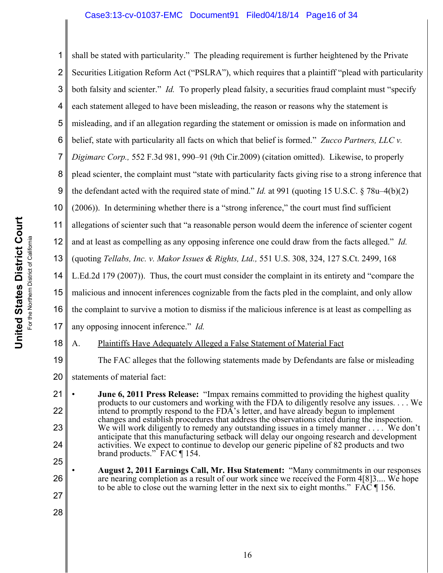1 2 3 4 5 6 7 8 9 10 11 12 13 14 15 16 17 18 19 20 21 22 23 24 25 shall be stated with particularity." The pleading requirement is further heightened by the Private Securities Litigation Reform Act ("PSLRA"), which requires that a plaintiff "plead with particularity both falsity and scienter." *Id.* To properly plead falsity, a securities fraud complaint must "specify each statement alleged to have been misleading, the reason or reasons why the statement is misleading, and if an allegation regarding the statement or omission is made on information and belief, state with particularity all facts on which that belief is formed." *Zucco Partners, LLC v. Digimarc Corp.,* 552 F.3d 981, 990–91 (9th Cir.2009) (citation omitted). Likewise, to properly plead scienter, the complaint must "state with particularity facts giving rise to a strong inference that the defendant acted with the required state of mind." *Id.* at 991 (quoting 15 U.S.C. § 78u–4(b)(2) (2006)). In determining whether there is a "strong inference," the court must find sufficient allegations of scienter such that "a reasonable person would deem the inference of scienter cogent and at least as compelling as any opposing inference one could draw from the facts alleged." *Id.* (quoting *Tellabs, Inc. v. Makor Issues & Rights, Ltd.,* 551 U.S. 308, 324, 127 S.Ct. 2499, 168 L.Ed.2d 179 (2007)). Thus, the court must consider the complaint in its entirety and "compare the malicious and innocent inferences cognizable from the facts pled in the complaint, and only allow the complaint to survive a motion to dismiss if the malicious inference is at least as compelling as any opposing innocent inference." *Id.* A. Plaintiffs Have Adequately Alleged a False Statement of Material Fact The FAC alleges that the following statements made by Defendants are false or misleading statements of material fact: • **June 6, 2011 Press Release:** "Impax remains committed to providing the highest quality products to our customers and working with the FDA to diligently resolve any issues. . . . We intend to promptly respond to the FDA's letter, and have already begun to implement changes and establish procedures that address the observations cited during the inspection. We will work diligently to remedy any outstanding issues in a timely manner . . . . We don't anticipate that this manufacturing setback will delay our ongoing research and development activities. We expect to continue to develop our generic pipeline of 82 products and two brand products." FAC ¶ 154.

• **August 2, 2011 Earnings Call, Mr. Hsu Statement:** "Many commitments in our responses are nearing completion as a result of our work since we received the Form 4[8]3.... We hope to be able to close out the warning letter in the next six to eight months." FAC ¶ 156.

26

27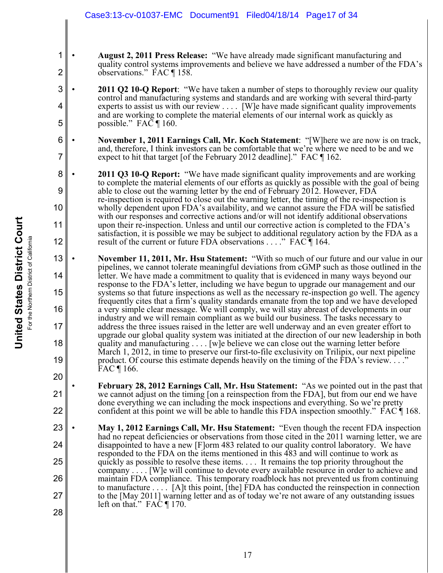- **August 2, 2011 Press Release:** "We have already made significant manufacturing and quality control systems improvements and believe we have addressed a number of the FDA's observations." FAC ¶ 158.
- **2011 Q2 10-Q Report**: "We have taken a number of steps to thoroughly review our quality control and manufacturing systems and standards and are working with several third-party experts to assist us with our review . . . . [W]e have made significant quality improvements and are working to complete the material elements of our internal work as quickly as possible." FA $\bar{C}$  ¶ 160.
- **November 1, 2011 Earnings Call, Mr. Koch Statement**: "[W]here we are now is on track, and, therefore, I think investors can be comfortable that we're where we need to be and we expect to hit that target [of the February 2012 deadline]." FAC ¶ 162.
- **2011 Q3 10-Q Report:** "We have made significant quality improvements and are working to complete the material elements of our efforts as quickly as possible with the goal of being able to close out the warning letter by the end of February 2012. However, FDA re-inspection is required to close out the warning letter, the timing of the re-inspection is wholly dependent upon FDA's availability, and we cannot assure the FDA will be satisfied with our responses and corrective actions and/or will not identify additional observations upon their re-inspection. Unless and until our corrective action is completed to the FDA's satisfaction, it is possible we may be subject to additional regulatory action by the FDA as a result of the current or future FDA observations . . . ." FAC ¶ 164.
- **November 11, 2011, Mr. Hsu Statement:** "With so much of our future and our value in our pipelines, we cannot tolerate meaningful deviations from cGMP such as those outlined in the letter. We have made a commitment to quality that is evidenced in many ways beyond our response to the FDA's letter, including we have begun to upgrade our management and our systems so that future inspections as well as the necessary re-inspection go well. The agency frequently cites that a firm's quality standards emanate from the top and we have developed a very simple clear message. We will comply, we will stay abreast of developments in our industry and we will remain compliant as we build our business. The tasks necessary to address the three issues raised in the letter are well underway and an even greater effort to upgrade our global quality system was initiated at the direction of our new leadership in both quality and manufacturing . . . . [w]e believe we can close out the warning letter before March 1, 2012, in time to preserve our first-to-file exclusivity on Trilipix, our next pipeline product. Of course this estimate depends heavily on the timing of the FDA's review. . . ." FAC ¶ 166.
	- **February 28, 2012 Earnings Call, Mr. Hsu Statement:** "As we pointed out in the past that we cannot adjust on the timing [on a reinspection from the FDA], but from our end we have done everything we can including the mock inspections and everything. So we're pretty confident at this point we will be able to handle this FDA inspection smoothly." FAC ¶ 168.
- 23 24 25 26 27 28 • **May 1, 2012 Earnings Call, Mr. Hsu Statement:** "Even though the recent FDA inspection had no repeat deficiencies or observations from those cited in the 2011 warning letter, we are disappointed to have a new [F]orm 483 related to our quality control laboratory. We have responded to the FDA on the items mentioned in this 483 and will continue to work as quickly as possible to resolve these items. . . . It remains the top priority throughout the company . . . . [W]e will continue to devote every available resource in order to achieve and maintain FDA compliance. This temporary roadblock has not prevented us from continuing to manufacture . . . . [A]t this point, [the] FDA has conducted the reinspection in connection to the [May 2011] warning letter and as of today we're not aware of any outstanding issues left on that." FAC  $\P$  170.

1

2

3

4

5

6

7

8

9

10

11

12

13

14

15

16

17

18

19

20

21

22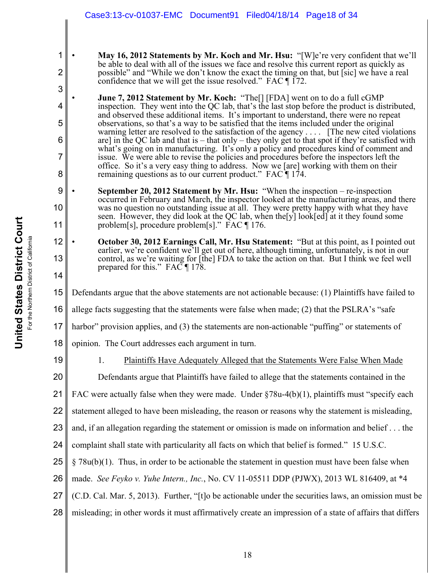• **May 16, 2012 Statements by Mr. Koch and Mr. Hsu:** "[W]e're very confident that we'll be able to deal with all of the issues we face and resolve this current report as quickly as possible" and "While we don't know the exact the timing on that, but [sic] we have a real confidence that we will get the issue resolved." FAC  $\P$  172.

• **June 7, 2012 Statement by Mr. Koch:** "The[] [FDA] went on to do a full cGMP inspection. They went into the QC lab, that's the last stop before the product is distributed, and observed these additional items. It's important to understand, there were no repeat observations, so that's a way to be satisfied that the items included under the original warning letter are resolved to the satisfaction of the agency . . . . [The new cited violations are] in the QC lab and that is  $-$  that only  $-$  they only get to that spot if they're satisfied with what's going on in manufacturing. It's only a policy and procedures kind of comment and issue. We were able to revise the policies and procedures before the inspectors left the office. So it's a very easy thing to address. Now we [are] working with them on their remaining questions as to our current product." FAC ¶ 174.

- **September 20, 2012 Statement by Mr. Hsu:** "When the inspection re-inspection occurred in February and March, the inspector looked at the manufacturing areas, and there was no question no outstanding issue at all. They were pretty happy with what they have seen. However, they did look at the QC lab, when the[y] look[ed] at it they found some problem[s], procedure problem[s]." FAC ¶ 176.
- **October 30, 2012 Earnings Call, Mr. Hsu Statement:** "But at this point, as I pointed out earlier, we're confident we'll get out of here, although timing, unfortunately, is not in our control, as we're waiting for [the] FDA to take the action on that. But I think we feel well prepared for this." FAC ¶ 178.
- 15 Defendants argue that the above statements are not actionable because: (1) Plaintiffs have failed to
- 16 allege facts suggesting that the statements were false when made; (2) that the PSLRA's "safe
- 17 harbor" provision applies, and (3) the statements are non-actionable "puffing" or statements of
- 18 opinion. The Court addresses each argument in turn.
- 19

20

1

2

3

4

5

6

7

8

9

10

11

12

13

- 1. Plaintiffs Have Adequately Alleged that the Statements Were False When Made
- Defendants argue that Plaintiffs have failed to allege that the statements contained in the
- 21 FAC were actually false when they were made. Under §78u-4(b)(1), plaintiffs must "specify each
- 22 statement alleged to have been misleading, the reason or reasons why the statement is misleading,
- 23 and, if an allegation regarding the statement or omission is made on information and belief . . . the
- 24 complaint shall state with particularity all facts on which that belief is formed." 15 U.S.C.
- 25  $§ 78u(b)(1)$ . Thus, in order to be actionable the statement in question must have been false when
- 26 made. *See Feyko v. Yuhe Intern., Inc.*, No. CV 11-05511 DDP (PJWX), 2013 WL 816409, at \*4
- 27 (C.D. Cal. Mar. 5, 2013). Further, "[t]o be actionable under the securities laws, an omission must be
- 28 misleading; in other words it must affirmatively create an impression of a state of affairs that differs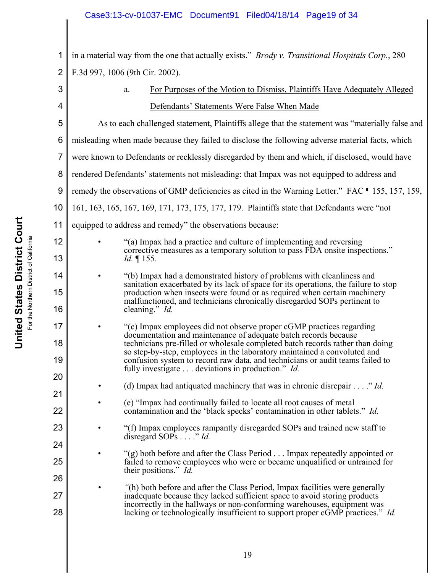1 2 in a material way from the one that actually exists." *Brody v. Transitional Hospitals Corp.*, 280 F.3d 997, 1006 (9th Cir. 2002).

| 3              |                                                                                                  | For Purposes of the Motion to Dismiss, Plaintiffs Have Adequately Alleged<br>a.                                                                                                                                                                                                                                                                                                                                                                  |  |
|----------------|--------------------------------------------------------------------------------------------------|--------------------------------------------------------------------------------------------------------------------------------------------------------------------------------------------------------------------------------------------------------------------------------------------------------------------------------------------------------------------------------------------------------------------------------------------------|--|
| 4              |                                                                                                  | Defendants' Statements Were False When Made                                                                                                                                                                                                                                                                                                                                                                                                      |  |
| 5              |                                                                                                  | As to each challenged statement, Plaintiffs allege that the statement was "materially false and                                                                                                                                                                                                                                                                                                                                                  |  |
| 6              |                                                                                                  | misleading when made because they failed to disclose the following adverse material facts, which                                                                                                                                                                                                                                                                                                                                                 |  |
| $\overline{7}$ | were known to Defendants or recklessly disregarded by them and which, if disclosed, would have   |                                                                                                                                                                                                                                                                                                                                                                                                                                                  |  |
| 8              | rendered Defendants' statements not misleading: that Impax was not equipped to address and       |                                                                                                                                                                                                                                                                                                                                                                                                                                                  |  |
| 9              | remedy the observations of GMP deficiencies as cited in the Warning Letter." FAC [155, 157, 159, |                                                                                                                                                                                                                                                                                                                                                                                                                                                  |  |
| 10             | 161, 163, 165, 167, 169, 171, 173, 175, 177, 179. Plaintiffs state that Defendants were "not     |                                                                                                                                                                                                                                                                                                                                                                                                                                                  |  |
| 11             | equipped to address and remedy" the observations because:                                        |                                                                                                                                                                                                                                                                                                                                                                                                                                                  |  |
| 12             |                                                                                                  | "(a) Impax had a practice and culture of implementing and reversing<br>corrective measures as a temporary solution to pass FDA onsite inspections."                                                                                                                                                                                                                                                                                              |  |
| 13             |                                                                                                  | <i>Id.</i> $\P$ 155.                                                                                                                                                                                                                                                                                                                                                                                                                             |  |
| 14             |                                                                                                  | "(b) Impax had a demonstrated history of problems with cleanliness and<br>sanitation exacerbated by its lack of space for its operations, the failure to stop                                                                                                                                                                                                                                                                                    |  |
| 15<br>16       |                                                                                                  | production when insects were found or as required when certain machinery<br>malfunctioned, and technicians chronically disregarded SOPs pertinent to<br>cleaning." Id.                                                                                                                                                                                                                                                                           |  |
| 17<br>18<br>19 |                                                                                                  | "(c) Impax employees did not observe proper cGMP practices regarding<br>documentation and maintenance of adequate batch records because<br>technicians pre-filled or wholesale completed batch records rather than doing<br>so step-by-step, employees in the laboratory maintained a convoluted and<br>confusion system to record raw data, and technicians or audit teams failed to<br>fully investigate deviations in production." <i>Id.</i> |  |
| 20             |                                                                                                  | (d) Impax had antiquated machinery that was in chronic disrepair $\dots$ ." <i>Id.</i>                                                                                                                                                                                                                                                                                                                                                           |  |
| 21<br>22       |                                                                                                  | (e) "Impax had continually failed to locate all root causes of metal<br>contamination and the 'black specks' contamination in other tablets." Id.                                                                                                                                                                                                                                                                                                |  |
| 23             |                                                                                                  | "(f) Impax employees rampantly disregarded SOPs and trained new staff to<br>disregard SOPs " Id.                                                                                                                                                                                                                                                                                                                                                 |  |
| 24             |                                                                                                  | "(g) both before and after the Class Period Impax repeatedly appointed or                                                                                                                                                                                                                                                                                                                                                                        |  |
| 25<br>26       |                                                                                                  | failed to remove employees who were or became unqualified or untrained for<br>their positions." Id.                                                                                                                                                                                                                                                                                                                                              |  |
| 27<br>28       |                                                                                                  | "(h) both before and after the Class Period, Impax facilities were generally<br>inadequate because they lacked sufficient space to avoid storing products<br>incorrectly in the hallways or non-conforming warehouses, equipment was<br>lacking or technologically insufficient to support proper cGMP practices." Id.                                                                                                                           |  |
|                |                                                                                                  |                                                                                                                                                                                                                                                                                                                                                                                                                                                  |  |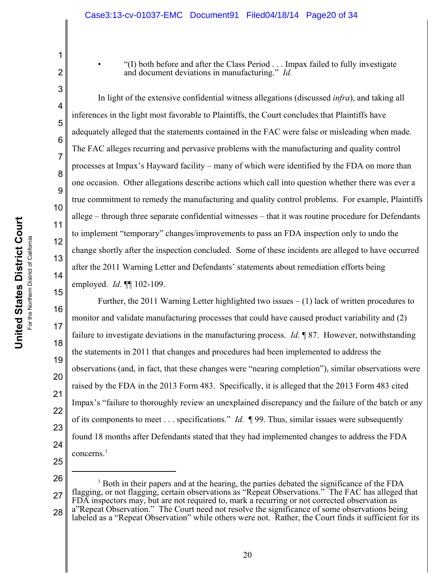• "(I) both before and after the Class Period . . . Impax failed to fully investigate and document deviations in manufacturing." *Id.*

15

1

2

3 4 5 6 7 8 9 10 11 12 13 14 In light of the extensive confidential witness allegations (discussed *infra*), and taking all inferences in the light most favorable to Plaintiffs, the Court concludes that Plaintiffs have adequately alleged that the statements contained in the FAC were false or misleading when made. The FAC alleges recurring and pervasive problems with the manufacturing and quality control processes at Impax's Hayward facility – many of which were identified by the FDA on more than one occasion. Other allegations describe actions which call into question whether there was ever a true commitment to remedy the manufacturing and quality control problems. For example, Plaintiffs allege – through three separate confidential witnesses – that it was routine procedure for Defendants to implement "temporary" changes/improvements to pass an FDA inspection only to undo the change shortly after the inspection concluded. Some of these incidents are alleged to have occurred after the 2011 Warning Letter and Defendants' statements about remediation efforts being employed. *Id.* **¶** 102-109.

16 17 18 19 20 21 22 23 24 25 Further, the 2011 Warning Letter highlighted two issues  $-(1)$  lack of written procedures to monitor and validate manufacturing processes that could have caused product variability and (2) failure to investigate deviations in the manufacturing process. *Id.* ¶ 87. However, notwithstanding the statements in 2011 that changes and procedures had been implemented to address the observations (and, in fact, that these changes were "nearing completion"), similar observations were raised by the FDA in the 2013 Form 483. Specifically, it is alleged that the 2013 Form 483 cited Impax's "failure to thoroughly review an unexplained discrepancy and the failure of the batch or any of its components to meet . . . specifications." *Id.* ¶ 99. Thus, similar issues were subsequently found 18 months after Defendants stated that they had implemented changes to address the FDA concerns.<sup>1</sup>

26

27 28 <sup>1</sup> Both in their papers and at the hearing, the parties debated the significance of the FDA flagging, or not flagging, certain observations as "Repeat Observations." The FAC has alleged that FDA inspectors may, but are not required to, mark a recurring or not corrected observation as a"Repeat Observation." The Court need not resolve the significance of some observations being labeled as a "Repeat Observation" while others were not. Rather, the Court finds it sufficient for its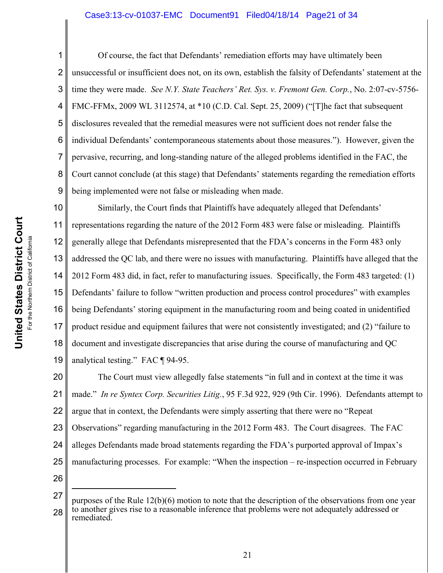### Case3:13-cv-01037-EMC Document91 Filed04/18/14 Page21 of 34

Of course, the fact that Defendants' remediation efforts may have ultimately been unsuccessful or insufficient does not, on its own, establish the falsity of Defendants' statement at the time they were made. *See N.Y. State Teachers' Ret. Sys. v. Fremont Gen. Corp.*, No. 2:07-cv-5756- FMC-FFMx, 2009 WL 3112574, at \*10 (C.D. Cal. Sept. 25, 2009) ("[T]he fact that subsequent disclosures revealed that the remedial measures were not sufficient does not render false the individual Defendants' contemporaneous statements about those measures."). However, given the pervasive, recurring, and long-standing nature of the alleged problems identified in the FAC, the Court cannot conclude (at this stage) that Defendants' statements regarding the remediation efforts being implemented were not false or misleading when made.

10 11 12 13 14 15 16 17 18 19 Similarly, the Court finds that Plaintiffs have adequately alleged that Defendants' representations regarding the nature of the 2012 Form 483 were false or misleading. Plaintiffs generally allege that Defendants misrepresented that the FDA's concerns in the Form 483 only addressed the QC lab, and there were no issues with manufacturing. Plaintiffs have alleged that the 2012 Form 483 did, in fact, refer to manufacturing issues. Specifically, the Form 483 targeted: (1) Defendants' failure to follow "written production and process control procedures" with examples being Defendants' storing equipment in the manufacturing room and being coated in unidentified product residue and equipment failures that were not consistently investigated; and (2) "failure to document and investigate discrepancies that arise during the course of manufacturing and QC analytical testing." FAC ¶ 94-95.

20 21 22 23 24 25 26 The Court must view allegedly false statements "in full and in context at the time it was made." *In re Syntex Corp. Securities Litig.*, 95 F.3d 922, 929 (9th Cir. 1996). Defendants attempt to argue that in context, the Defendants were simply asserting that there were no "Repeat Observations" regarding manufacturing in the 2012 Form 483. The Court disagrees. The FAC alleges Defendants made broad statements regarding the FDA's purported approval of Impax's manufacturing processes. For example: "When the inspection – re-inspection occurred in February

27 28 purposes of the Rule 12(b)(6) motion to note that the description of the observations from one year to another gives rise to a reasonable inference that problems were not adequately addressed or remediated.

1

2

3

4

5

6

7

8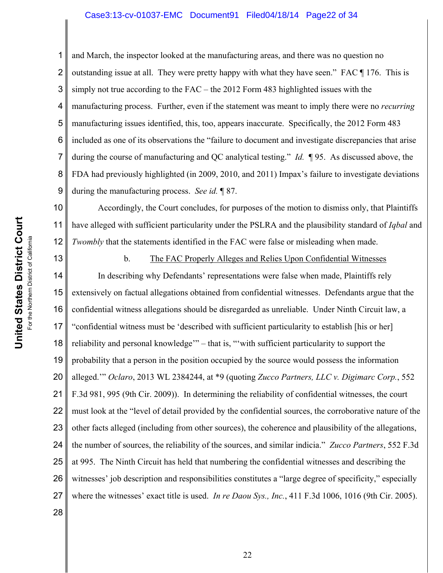### Case3:13-cv-01037-EMC Document91 Filed04/18/14 Page22 of 34

1 2 3 4 5 6 7 8 9 and March, the inspector looked at the manufacturing areas, and there was no question no outstanding issue at all. They were pretty happy with what they have seen." FAC ¶ 176. This is simply not true according to the FAC – the 2012 Form 483 highlighted issues with the manufacturing process. Further, even if the statement was meant to imply there were no *recurring* manufacturing issues identified, this, too, appears inaccurate. Specifically, the 2012 Form 483 included as one of its observations the "failure to document and investigate discrepancies that arise during the course of manufacturing and QC analytical testing." *Id.* ¶ 95. As discussed above, the FDA had previously highlighted (in 2009, 2010, and 2011) Impax's failure to investigate deviations during the manufacturing process. *See id.* ¶ 87.

10 11 12 Accordingly, the Court concludes, for purposes of the motion to dismiss only, that Plaintiffs have alleged with sufficient particularity under the PSLRA and the plausibility standard of *Iqbal* and *Twombly* that the statements identified in the FAC were false or misleading when made.

13 14 15 16 17 18 19 20 21 22 23 24 25 26 27 b. The FAC Properly Alleges and Relies Upon Confidential Witnesses In describing why Defendants' representations were false when made, Plaintiffs rely extensively on factual allegations obtained from confidential witnesses. Defendants argue that the confidential witness allegations should be disregarded as unreliable. Under Ninth Circuit law, a "confidential witness must be 'described with sufficient particularity to establish [his or her] reliability and personal knowledge'" – that is, "'with sufficient particularity to support the probability that a person in the position occupied by the source would possess the information alleged.'" *Oclaro*, 2013 WL 2384244, at \*9 (quoting *Zucco Partners, LLC v. Digimarc Corp.*, 552 F.3d 981, 995 (9th Cir. 2009)). In determining the reliability of confidential witnesses, the court must look at the "level of detail provided by the confidential sources, the corroborative nature of the other facts alleged (including from other sources), the coherence and plausibility of the allegations, the number of sources, the reliability of the sources, and similar indicia." *Zucco Partners*, 552 F.3d at 995. The Ninth Circuit has held that numbering the confidential witnesses and describing the witnesses' job description and responsibilities constitutes a "large degree of specificity," especially where the witnesses' exact title is used. *In re Daou Sys., Inc.*, 411 F.3d 1006, 1016 (9th Cir. 2005).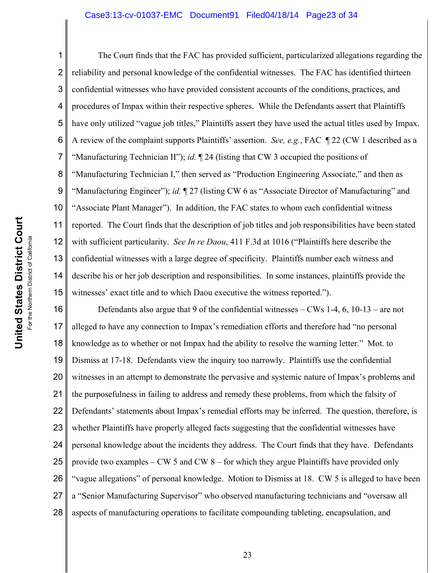#### Case3:13-cv-01037-EMC Document91 Filed04/18/14 Page23 of 34

**United States District Court United States District Court** For the Northern District of California For the Northern District of California

1 2 3 4 5 6 7 8 9 10 11 12 13 14 15 The Court finds that the FAC has provided sufficient, particularized allegations regarding the reliability and personal knowledge of the confidential witnesses. The FAC has identified thirteen confidential witnesses who have provided consistent accounts of the conditions, practices, and procedures of Impax within their respective spheres. While the Defendants assert that Plaintiffs have only utilized "vague job titles," Plaintiffs assert they have used the actual titles used by Impax. A review of the complaint supports Plaintiffs' assertion. *See, e.g.*, FAC ¶ 22 (CW 1 described as a "Manufacturing Technician II"); *id.* ¶ 24 (listing that CW 3 occupied the positions of "Manufacturing Technician I," then served as "Production Engineering Associate," and then as "Manufacturing Engineer"); *id.* ¶ 27 (listing CW 6 as "Associate Director of Manufacturing" and "Associate Plant Manager"). In addition, the FAC states to whom each confidential witness reported. The Court finds that the description of job titles and job responsibilities have been stated with sufficient particularity. *See In re Daou*, 411 F.3d at 1016 ("Plaintiffs here describe the confidential witnesses with a large degree of specificity. Plaintiffs number each witness and describe his or her job description and responsibilities. In some instances, plaintiffs provide the witnesses' exact title and to which Daou executive the witness reported.").

16 17 18 19 20 21 22 23 24 25 26 27 28 Defendants also argue that 9 of the confidential witnesses – CWs 1-4, 6, 10-13 – are not alleged to have any connection to Impax's remediation efforts and therefore had "no personal knowledge as to whether or not Impax had the ability to resolve the warning letter." Mot. to Dismiss at 17-18. Defendants view the inquiry too narrowly. Plaintiffs use the confidential witnesses in an attempt to demonstrate the pervasive and systemic nature of Impax's problems and the purposefulness in failing to address and remedy these problems, from which the falsity of Defendants' statements about Impax's remedial efforts may be inferred. The question, therefore, is whether Plaintiffs have properly alleged facts suggesting that the confidential witnesses have personal knowledge about the incidents they address. The Court finds that they have. Defendants provide two examples – CW 5 and CW 8 – for which they argue Plaintiffs have provided only "vague allegations" of personal knowledge. Motion to Dismiss at 18. CW 5 is alleged to have been a "Senior Manufacturing Supervisor" who observed manufacturing technicians and "oversaw all aspects of manufacturing operations to facilitate compounding tableting, encapsulation, and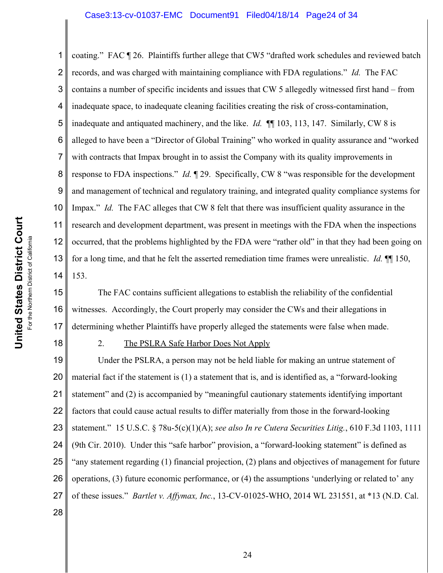1 2 3 4 5 6 7 8 9 10 11 12 13 14 coating." FAC ¶ 26. Plaintiffs further allege that CW5 "drafted work schedules and reviewed batch records, and was charged with maintaining compliance with FDA regulations." *Id.* The FAC contains a number of specific incidents and issues that CW 5 allegedly witnessed first hand – from inadequate space, to inadequate cleaning facilities creating the risk of cross-contamination, inadequate and antiquated machinery, and the like. *Id.* ¶¶ 103, 113, 147. Similarly, CW 8 is alleged to have been a "Director of Global Training" who worked in quality assurance and "worked with contracts that Impax brought in to assist the Company with its quality improvements in response to FDA inspections." *Id.* ¶ 29. Specifically, CW 8 "was responsible for the development and management of technical and regulatory training, and integrated quality compliance systems for Impax." *Id.* The FAC alleges that CW 8 felt that there was insufficient quality assurance in the research and development department, was present in meetings with the FDA when the inspections occurred, that the problems highlighted by the FDA were "rather old" in that they had been going on for a long time, and that he felt the asserted remediation time frames were unrealistic. *Id.* ¶¶ 150, 153.

15 16 17 The FAC contains sufficient allegations to establish the reliability of the confidential witnesses. Accordingly, the Court properly may consider the CWs and their allegations in determining whether Plaintiffs have properly alleged the statements were false when made.

18

# 2. The PSLRA Safe Harbor Does Not Apply

19 20 21 22 23 24 25 26 27 28 Under the PSLRA, a person may not be held liable for making an untrue statement of material fact if the statement is (1) a statement that is, and is identified as, a "forward-looking statement" and (2) is accompanied by "meaningful cautionary statements identifying important factors that could cause actual results to differ materially from those in the forward-looking statement." 15 U.S.C. § 78u-5(c)(1)(A); *see also In re Cutera Securities Litig.*, 610 F.3d 1103, 1111 (9th Cir. 2010). Under this "safe harbor" provision, a "forward-looking statement" is defined as "any statement regarding (1) financial projection, (2) plans and objectives of management for future operations, (3) future economic performance, or (4) the assumptions 'underlying or related to' any of these issues." *Bartlet v. Affymax, Inc.*, 13-CV-01025-WHO, 2014 WL 231551, at \*13 (N.D. Cal.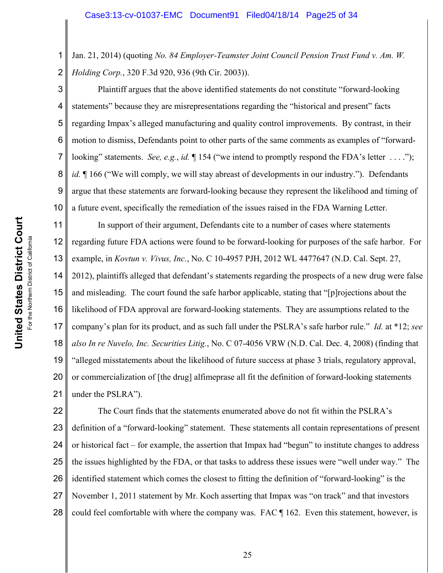1 2 Jan. 21, 2014) (quoting *No. 84 Employer-Teamster Joint Council Pension Trust Fund v. Am. W. Holding Corp.*, 320 F.3d 920, 936 (9th Cir. 2003)).

3 4 5 6 7 8 9 10 Plaintiff argues that the above identified statements do not constitute "forward-looking statements" because they are misrepresentations regarding the "historical and present" facts regarding Impax's alleged manufacturing and quality control improvements. By contrast, in their motion to dismiss, Defendants point to other parts of the same comments as examples of "forwardlooking" statements. *See, e.g., id.*  $\P$  154 ("we intend to promptly respond the FDA's letter ...."); *id.*  $\parallel$  166 ("We will comply, we will stay abreast of developments in our industry."). Defendants argue that these statements are forward-looking because they represent the likelihood and timing of a future event, specifically the remediation of the issues raised in the FDA Warning Letter.

11 12 13 14 15 16 17 18 19 20 21 In support of their argument, Defendants cite to a number of cases where statements regarding future FDA actions were found to be forward-looking for purposes of the safe harbor. For example, in *Kovtun v. Vivus, Inc.*, No. C 10-4957 PJH, 2012 WL 4477647 (N.D. Cal. Sept. 27, 2012), plaintiffs alleged that defendant's statements regarding the prospects of a new drug were false and misleading. The court found the safe harbor applicable, stating that "[p]rojections about the likelihood of FDA approval are forward-looking statements. They are assumptions related to the company's plan for its product, and as such fall under the PSLRA's safe harbor rule." *Id.* at \*12; *see also In re Nuvelo, Inc. Securities Litig.*, No. C 07-4056 VRW (N.D. Cal. Dec. 4, 2008) (finding that "alleged misstatements about the likelihood of future success at phase 3 trials, regulatory approval, or commercialization of [the drug] alfimeprase all fit the definition of forward-looking statements under the PSLRA").

22 23 24 25 26 27 28 The Court finds that the statements enumerated above do not fit within the PSLRA's definition of a "forward-looking" statement. These statements all contain representations of present or historical fact – for example, the assertion that Impax had "begun" to institute changes to address the issues highlighted by the FDA, or that tasks to address these issues were "well under way." The identified statement which comes the closest to fitting the definition of "forward-looking" is the November 1, 2011 statement by Mr. Koch asserting that Impax was "on track" and that investors could feel comfortable with where the company was. FAC ¶ 162. Even this statement, however, is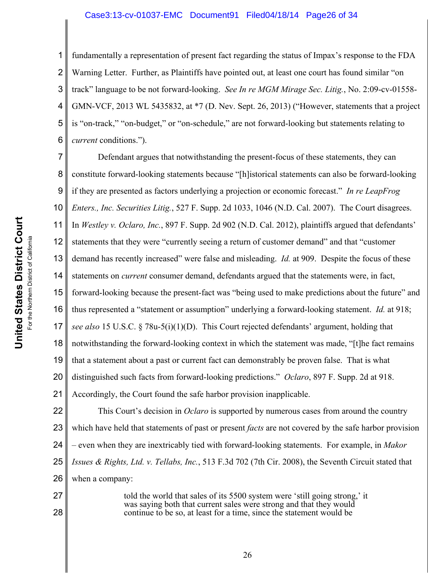#### Case3:13-cv-01037-EMC Document91 Filed04/18/14 Page26 of 34

1 2 3 4 5 6 fundamentally a representation of present fact regarding the status of Impax's response to the FDA Warning Letter. Further, as Plaintiffs have pointed out, at least one court has found similar "on track" language to be not forward-looking. *See In re MGM Mirage Sec. Litig.*, No. 2:09-cv-01558- GMN-VCF, 2013 WL 5435832, at \*7 (D. Nev. Sept. 26, 2013) ("However, statements that a project is "on-track," "on-budget," or "on-schedule," are not forward-looking but statements relating to *current* conditions.").

7 8 9 10 11 12 13 14 15 16 17 18 19 20 21 Defendant argues that notwithstanding the present-focus of these statements, they can constitute forward-looking statements because "[h]istorical statements can also be forward-looking if they are presented as factors underlying a projection or economic forecast." *In re LeapFrog Enters., Inc. Securities Litig.*, 527 F. Supp. 2d 1033, 1046 (N.D. Cal. 2007). The Court disagrees. In *Westley v. Oclaro, Inc.*, 897 F. Supp. 2d 902 (N.D. Cal. 2012), plaintiffs argued that defendants' statements that they were "currently seeing a return of customer demand" and that "customer demand has recently increased" were false and misleading. *Id.* at 909. Despite the focus of these statements on *current* consumer demand, defendants argued that the statements were, in fact, forward-looking because the present-fact was "being used to make predictions about the future" and thus represented a "statement or assumption" underlying a forward-looking statement. *Id.* at 918; *see also* 15 U.S.C. § 78u-5(i)(1)(D). This Court rejected defendants' argument, holding that notwithstanding the forward-looking context in which the statement was made, "[t]he fact remains that a statement about a past or current fact can demonstrably be proven false. That is what distinguished such facts from forward-looking predictions." *Oclaro*, 897 F. Supp. 2d at 918. Accordingly, the Court found the safe harbor provision inapplicable.

22 23 24 25 26 This Court's decision in *Oclaro* is supported by numerous cases from around the country which have held that statements of past or present *facts* are not covered by the safe harbor provision – even when they are inextricably tied with forward-looking statements. For example, in *Makor Issues & Rights, Ltd. v. Tellabs, Inc.*, 513 F.3d 702 (7th Cir. 2008), the Seventh Circuit stated that when a company:

> told the world that sales of its 5500 system were 'still going strong,' it was saying both that current sales were strong and that they would continue to be so, at least for a time, since the statement would be

27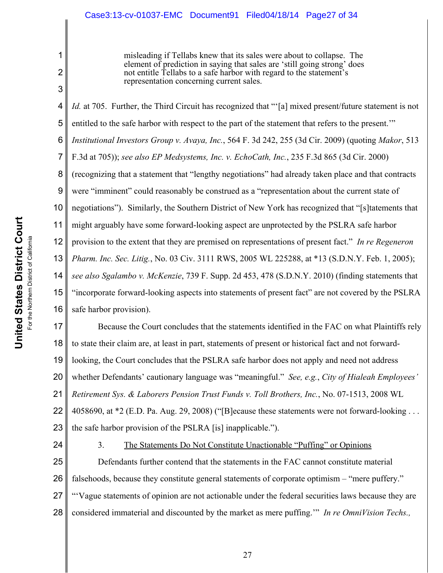misleading if Tellabs knew that its sales were about to collapse. The element of prediction in saying that sales are 'still going strong' does not entitle Tellabs to a safe harbor with regard to the statement's representation concerning current sales.

4 5 6 7 8 9 10 11 12 13 14 15 16 *Id.* at 705. Further, the Third Circuit has recognized that "'[a] mixed present/future statement is not entitled to the safe harbor with respect to the part of the statement that refers to the present.'" *Institutional Investors Group v. Avaya, Inc.*, 564 F. 3d 242, 255 (3d Cir. 2009) (quoting *Makor*, 513 F.3d at 705)); *see also EP Medsystems, Inc. v. EchoCath, Inc.*, 235 F.3d 865 (3d Cir. 2000) (recognizing that a statement that "lengthy negotiations" had already taken place and that contracts were "imminent" could reasonably be construed as a "representation about the current state of negotiations"). Similarly, the Southern District of New York has recognized that "[s]tatements that might arguably have some forward-looking aspect are unprotected by the PSLRA safe harbor provision to the extent that they are premised on representations of present fact." *In re Regeneron Pharm. Inc. Sec. Litig.*, No. 03 Civ. 3111 RWS, 2005 WL 225288, at \*13 (S.D.N.Y. Feb. 1, 2005); *see also Sgalambo v. McKenzie*, 739 F. Supp. 2d 453, 478 (S.D.N.Y. 2010) (finding statements that "incorporate forward-looking aspects into statements of present fact" are not covered by the PSLRA safe harbor provision).

17 18 19 20 21 22 23 Because the Court concludes that the statements identified in the FAC on what Plaintiffs rely to state their claim are, at least in part, statements of present or historical fact and not forwardlooking, the Court concludes that the PSLRA safe harbor does not apply and need not address whether Defendants' cautionary language was "meaningful." *See, e.g.*, *City of Hialeah Employees' Retirement Sys. & Laborers Pension Trust Funds v. Toll Brothers, Inc.*, No. 07-1513, 2008 WL 4058690, at \*2 (E.D. Pa. Aug. 29, 2008) ("[B]ecause these statements were not forward-looking . . . the safe harbor provision of the PSLRA [is] inapplicable.").

24

1

2

3

3. The Statements Do Not Constitute Unactionable "Puffing" or Opinions

25 26 27 28 Defendants further contend that the statements in the FAC cannot constitute material falsehoods, because they constitute general statements of corporate optimism – "mere puffery." "'Vague statements of opinion are not actionable under the federal securities laws because they are considered immaterial and discounted by the market as mere puffing.'" *In re OmniVision Techs.,*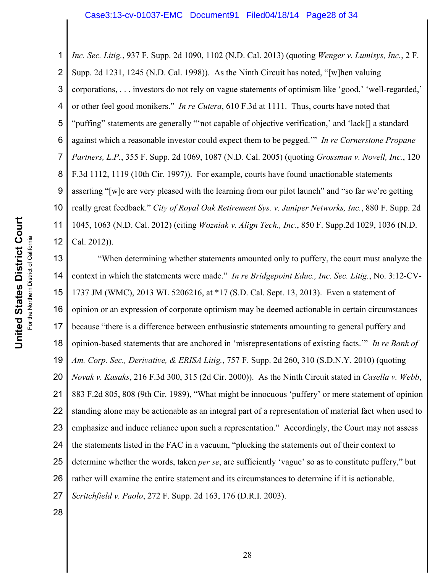1 2 3 4 5 6 7 8 9 10 11 12 *Inc. Sec. Litig.*, 937 F. Supp. 2d 1090, 1102 (N.D. Cal. 2013) (quoting *Wenger v. Lumisys, Inc.*, 2 F. Supp. 2d 1231, 1245 (N.D. Cal. 1998)). As the Ninth Circuit has noted, "[w]hen valuing corporations, . . . investors do not rely on vague statements of optimism like 'good,' 'well-regarded,' or other feel good monikers." *In re Cutera*, 610 F.3d at 1111. Thus, courts have noted that "puffing" statements are generally "'not capable of objective verification,' and 'lack[] a standard against which a reasonable investor could expect them to be pegged.'" *In re Cornerstone Propane Partners, L.P.*, 355 F. Supp. 2d 1069, 1087 (N.D. Cal. 2005) (quoting *Grossman v. Novell, Inc.*, 120 F.3d 1112, 1119 (10th Cir. 1997)). For example, courts have found unactionable statements asserting "[w]e are very pleased with the learning from our pilot launch" and "so far we're getting really great feedback." *City of Royal Oak Retirement Sys. v. Juniper Networks, Inc.*, 880 F. Supp. 2d 1045, 1063 (N.D. Cal. 2012) (citing *Wozniak v. Align Tech., Inc.*, 850 F. Supp.2d 1029, 1036 (N.D. Cal. 2012)).

13 14 15 16 17 18 19 20 21 22 23 24 25 26 27 "When determining whether statements amounted only to puffery, the court must analyze the context in which the statements were made." *In re Bridgepoint Educ., Inc. Sec. Litig.*, No. 3:12-CV-1737 JM (WMC), 2013 WL 5206216, at \*17 (S.D. Cal. Sept. 13, 2013). Even a statement of opinion or an expression of corporate optimism may be deemed actionable in certain circumstances because "there is a difference between enthusiastic statements amounting to general puffery and opinion-based statements that are anchored in 'misrepresentations of existing facts.'" *In re Bank of Am. Corp. Sec., Derivative, & ERISA Litig.*, 757 F. Supp. 2d 260, 310 (S.D.N.Y. 2010) (quoting *Novak v. Kasaks*, 216 F.3d 300, 315 (2d Cir. 2000)). As the Ninth Circuit stated in *Casella v. Webb*, 883 F.2d 805, 808 (9th Cir. 1989), "What might be innocuous 'puffery' or mere statement of opinion standing alone may be actionable as an integral part of a representation of material fact when used to emphasize and induce reliance upon such a representation." Accordingly, the Court may not assess the statements listed in the FAC in a vacuum, "plucking the statements out of their context to determine whether the words, taken *per se*, are sufficiently 'vague' so as to constitute puffery," but rather will examine the entire statement and its circumstances to determine if it is actionable. *Scritchfield v. Paolo*, 272 F. Supp. 2d 163, 176 (D.R.I. 2003).

28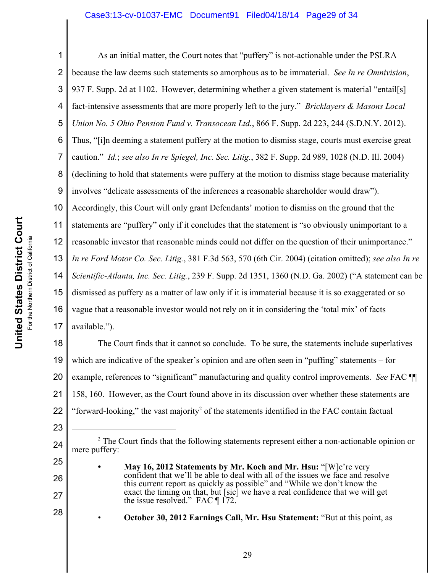### Case3:13-cv-01037-EMC Document91 Filed04/18/14 Page29 of 34

1 2 3 4 5 6 7 8 9 10 11 12 13 14 15 16 17 As an initial matter, the Court notes that "puffery" is not-actionable under the PSLRA because the law deems such statements so amorphous as to be immaterial. *See In re Omnivision*, 937 F. Supp. 2d at 1102. However, determining whether a given statement is material "entail[s] fact-intensive assessments that are more properly left to the jury." *Bricklayers & Masons Local Union No. 5 Ohio Pension Fund v. Transocean Ltd.*, 866 F. Supp. 2d 223, 244 (S.D.N.Y. 2012). Thus, "[i]n deeming a statement puffery at the motion to dismiss stage, courts must exercise great caution." *Id.*; *see also In re Spiegel, Inc. Sec. Litig.*, 382 F. Supp. 2d 989, 1028 (N.D. Ill. 2004) (declining to hold that statements were puffery at the motion to dismiss stage because materiality involves "delicate assessments of the inferences a reasonable shareholder would draw"). Accordingly, this Court will only grant Defendants' motion to dismiss on the ground that the statements are "puffery" only if it concludes that the statement is "so obviously unimportant to a reasonable investor that reasonable minds could not differ on the question of their unimportance." *In re Ford Motor Co. Sec. Litig.*, 381 F.3d 563, 570 (6th Cir. 2004) (citation omitted); *see also In re Scientific-Atlanta, Inc. Sec. Litig.*, 239 F. Supp. 2d 1351, 1360 (N.D. Ga. 2002) ("A statement can be dismissed as puffery as a matter of law only if it is immaterial because it is so exaggerated or so vague that a reasonable investor would not rely on it in considering the 'total mix' of facts available.").

18 19 20 21 22 The Court finds that it cannot so conclude. To be sure, the statements include superlatives which are indicative of the speaker's opinion and are often seen in "puffing" statements – for example, references to "significant" manufacturing and quality control improvements. *See* FAC ¶¶ 158, 160. However, as the Court found above in its discussion over whether these statements are "forward-looking," the vast majority<sup>2</sup> of the statements identified in the FAC contain factual

23

24

25

26

27

 $2^2$  The Court finds that the following statements represent either a non-actionable opinion or mere puffery:

**<sup>•</sup> May 16, 2012 Statements by Mr. Koch and Mr. Hsu:** "[W]e're very confident that we'll be able to deal with all of the issues we face and resolve this current report as quickly as possible" and "While we don't know the exact the timing on that, but [sic] we have a real confidence that we will get the issue resolved." FAC ¶ 172.

<sup>•</sup> **October 30, 2012 Earnings Call, Mr. Hsu Statement:** "But at this point, as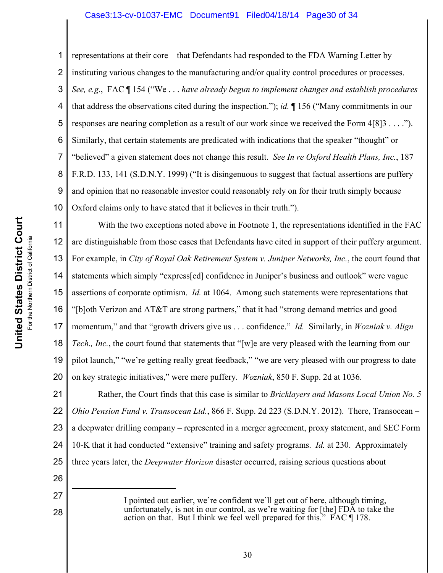### Case3:13-cv-01037-EMC Document91 Filed04/18/14 Page30 of 34

1 2 3 4 5 6 7 8 9 10 representations at their core – that Defendants had responded to the FDA Warning Letter by instituting various changes to the manufacturing and/or quality control procedures or processes. *See, e.g.*, FAC ¶ 154 ("We . . . *have already begun to implement changes and establish procedures* that address the observations cited during the inspection."); *id.* ¶ 156 ("Many commitments in our responses are nearing completion as a result of our work since we received the Form 4[8]3 . . . ."). Similarly, that certain statements are predicated with indications that the speaker "thought" or "believed" a given statement does not change this result. *See In re Oxford Health Plans, Inc.*, 187 F.R.D. 133, 141 (S.D.N.Y. 1999) ("It is disingenuous to suggest that factual assertions are puffery and opinion that no reasonable investor could reasonably rely on for their truth simply because Oxford claims only to have stated that it believes in their truth.").

11 12 13 14 15 16 17 18 19 20 With the two exceptions noted above in Footnote 1, the representations identified in the FAC are distinguishable from those cases that Defendants have cited in support of their puffery argument. For example, in *City of Royal Oak Retirement System v. Juniper Networks, Inc.*, the court found that statements which simply "express[ed] confidence in Juniper's business and outlook" were vague assertions of corporate optimism. *Id.* at 1064. Among such statements were representations that "[b]oth Verizon and AT&T are strong partners," that it had "strong demand metrics and good momentum," and that "growth drivers give us . . . confidence." *Id.* Similarly, in *Wozniak v. Align Tech., Inc.*, the court found that statements that "[w]e are very pleased with the learning from our pilot launch," "we're getting really great feedback," "we are very pleased with our progress to date on key strategic initiatives," were mere puffery. *Wozniak*, 850 F. Supp. 2d at 1036.

21 22 23 24 25 Rather, the Court finds that this case is similar to *Bricklayers and Masons Local Union No. 5 Ohio Pension Fund v. Transocean Ltd.*, 866 F. Supp. 2d 223 (S.D.N.Y. 2012). There, Transocean – a deepwater drilling company – represented in a merger agreement, proxy statement, and SEC Form 10-K that it had conducted "extensive" training and safety programs. *Id.* at 230. Approximately three years later, the *Deepwater Horizon* disaster occurred, raising serious questions about

> I pointed out earlier, we're confident we'll get out of here, although timing, unfortunately, is not in our control, as we're waiting for [the] FDA to take the action on that. But I think we feel well prepared for this." FAC ¶ 178.

26

27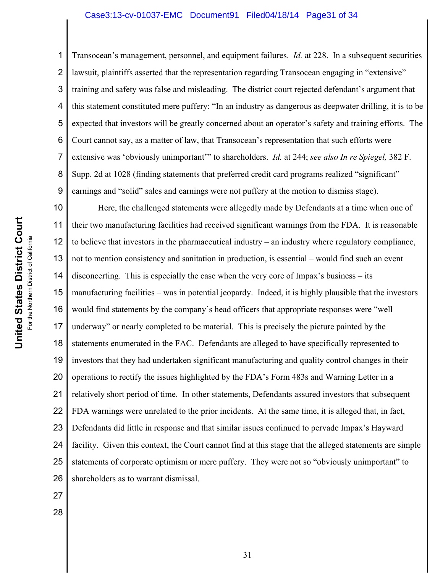#### Case3:13-cv-01037-EMC Document91 Filed04/18/14 Page31 of 34

2 3 4 5 6 7 8 9 Transocean's management, personnel, and equipment failures. *Id.* at 228. In a subsequent securities lawsuit, plaintiffs asserted that the representation regarding Transocean engaging in "extensive" training and safety was false and misleading. The district court rejected defendant's argument that this statement constituted mere puffery: "In an industry as dangerous as deepwater drilling, it is to be expected that investors will be greatly concerned about an operator's safety and training efforts. The Court cannot say, as a matter of law, that Transocean's representation that such efforts were extensive was 'obviously unimportant'" to shareholders. *Id.* at 244; *see also In re Spiegel,* 382 F. Supp. 2d at 1028 (finding statements that preferred credit card programs realized "significant" earnings and "solid" sales and earnings were not puffery at the motion to dismiss stage).

10 11 12 13 14 15 16 17 18 19 20 21 22 23 24 25 26 Here, the challenged statements were allegedly made by Defendants at a time when one of their two manufacturing facilities had received significant warnings from the FDA. It is reasonable to believe that investors in the pharmaceutical industry – an industry where regulatory compliance, not to mention consistency and sanitation in production, is essential – would find such an event disconcerting. This is especially the case when the very core of Impax's business – its manufacturing facilities – was in potential jeopardy. Indeed, it is highly plausible that the investors would find statements by the company's head officers that appropriate responses were "well underway" or nearly completed to be material. This is precisely the picture painted by the statements enumerated in the FAC. Defendants are alleged to have specifically represented to investors that they had undertaken significant manufacturing and quality control changes in their operations to rectify the issues highlighted by the FDA's Form 483s and Warning Letter in a relatively short period of time. In other statements, Defendants assured investors that subsequent FDA warnings were unrelated to the prior incidents. At the same time, it is alleged that, in fact, Defendants did little in response and that similar issues continued to pervade Impax's Hayward facility. Given this context, the Court cannot find at this stage that the alleged statements are simple statements of corporate optimism or mere puffery. They were not so "obviously unimportant" to shareholders as to warrant dismissal.

- 27
- 28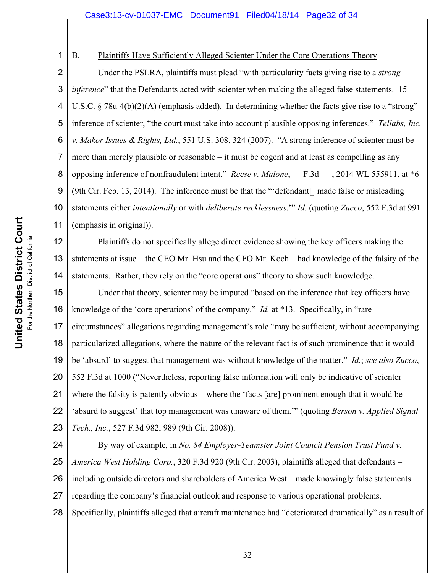For the Northern District of California For the Northern District of California 1

2

7

### B. Plaintiffs Have Sufficiently Alleged Scienter Under the Core Operations Theory

3 4 5 6 8 9 10 11 Under the PSLRA, plaintiffs must plead "with particularity facts giving rise to a *strong inference*" that the Defendants acted with scienter when making the alleged false statements. 15 U.S.C. § 78u-4(b)(2)(A) (emphasis added). In determining whether the facts give rise to a "strong" inference of scienter, "the court must take into account plausible opposing inferences." *Tellabs, Inc. v. Makor Issues & Rights, Ltd.*, 551 U.S. 308, 324 (2007). "A strong inference of scienter must be more than merely plausible or reasonable – it must be cogent and at least as compelling as any opposing inference of nonfraudulent intent." *Reese v. Malone*, — F.3d — , 2014 WL 555911, at \*6 (9th Cir. Feb. 13, 2014). The inference must be that the "'defendant[] made false or misleading statements either *intentionally* or with *deliberate recklessness*.'" *Id.* (quoting *Zucco*, 552 F.3d at 991 (emphasis in original)).

12 13 14 Plaintiffs do not specifically allege direct evidence showing the key officers making the statements at issue – the CEO Mr. Hsu and the CFO Mr. Koch – had knowledge of the falsity of the statements. Rather, they rely on the "core operations" theory to show such knowledge.

15 16 17 18 19 20 21 22 23 Under that theory, scienter may be imputed "based on the inference that key officers have knowledge of the 'core operations' of the company." *Id.* at \*13. Specifically, in "rare circumstances" allegations regarding management's role "may be sufficient, without accompanying particularized allegations, where the nature of the relevant fact is of such prominence that it would be 'absurd' to suggest that management was without knowledge of the matter." *Id.*; *see also Zucco*, 552 F.3d at 1000 ("Nevertheless, reporting false information will only be indicative of scienter where the falsity is patently obvious – where the 'facts [are] prominent enough that it would be 'absurd to suggest' that top management was unaware of them.'" (quoting *Berson v. Applied Signal Tech., Inc.*, 527 F.3d 982, 989 (9th Cir. 2008)).

24 25 26 27 28 By way of example, in *No. 84 Employer-Teamster Joint Council Pension Trust Fund v. America West Holding Corp.*, 320 F.3d 920 (9th Cir. 2003), plaintiffs alleged that defendants – including outside directors and shareholders of America West – made knowingly false statements regarding the company's financial outlook and response to various operational problems. Specifically, plaintiffs alleged that aircraft maintenance had "deteriorated dramatically" as a result of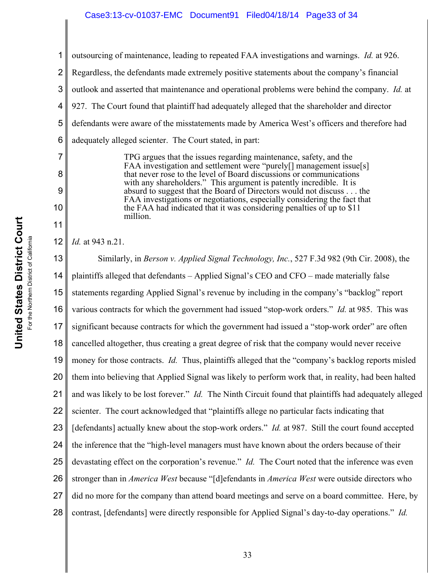### Case3:13-cv-01037-EMC Document91 Filed04/18/14 Page33 of 34

1 2 3 4 5 6 7 8 outsourcing of maintenance, leading to repeated FAA investigations and warnings. *Id.* at 926. Regardless, the defendants made extremely positive statements about the company's financial outlook and asserted that maintenance and operational problems were behind the company. *Id.* at 927. The Court found that plaintiff had adequately alleged that the shareholder and director defendants were aware of the misstatements made by America West's officers and therefore had adequately alleged scienter. The Court stated, in part: TPG argues that the issues regarding maintenance, safety, and the FAA investigation and settlement were "purely[] management issue[s]

that never rose to the level of Board discussions or communications with any shareholders." This argument is patently incredible. It is absurd to suggest that the Board of Directors would not discuss . . . the FAA investigations or negotiations, especially considering the fact that the FAA had indicated that it was considering penalties of up to \$11 million.

12 *Id.* at 943 n.21.

9

10

11

13 14 15 16 17 18 19 20 21 22 23 24 25 26 27 28 Similarly, in *Berson v. Applied Signal Technology, Inc.*, 527 F.3d 982 (9th Cir. 2008), the plaintiffs alleged that defendants – Applied Signal's CEO and CFO – made materially false statements regarding Applied Signal's revenue by including in the company's "backlog" report various contracts for which the government had issued "stop-work orders." *Id.* at 985. This was significant because contracts for which the government had issued a "stop-work order" are often cancelled altogether, thus creating a great degree of risk that the company would never receive money for those contracts. *Id.* Thus, plaintiffs alleged that the "company's backlog reports misled them into believing that Applied Signal was likely to perform work that, in reality, had been halted and was likely to be lost forever." *Id.* The Ninth Circuit found that plaintiffs had adequately alleged scienter. The court acknowledged that "plaintiffs allege no particular facts indicating that [defendants] actually knew about the stop-work orders." *Id.* at 987. Still the court found accepted the inference that the "high-level managers must have known about the orders because of their devastating effect on the corporation's revenue." *Id.* The Court noted that the inference was even stronger than in *America West* because "[d]efendants in *America West* were outside directors who did no more for the company than attend board meetings and serve on a board committee. Here, by contrast, [defendants] were directly responsible for Applied Signal's day-to-day operations." *Id.*